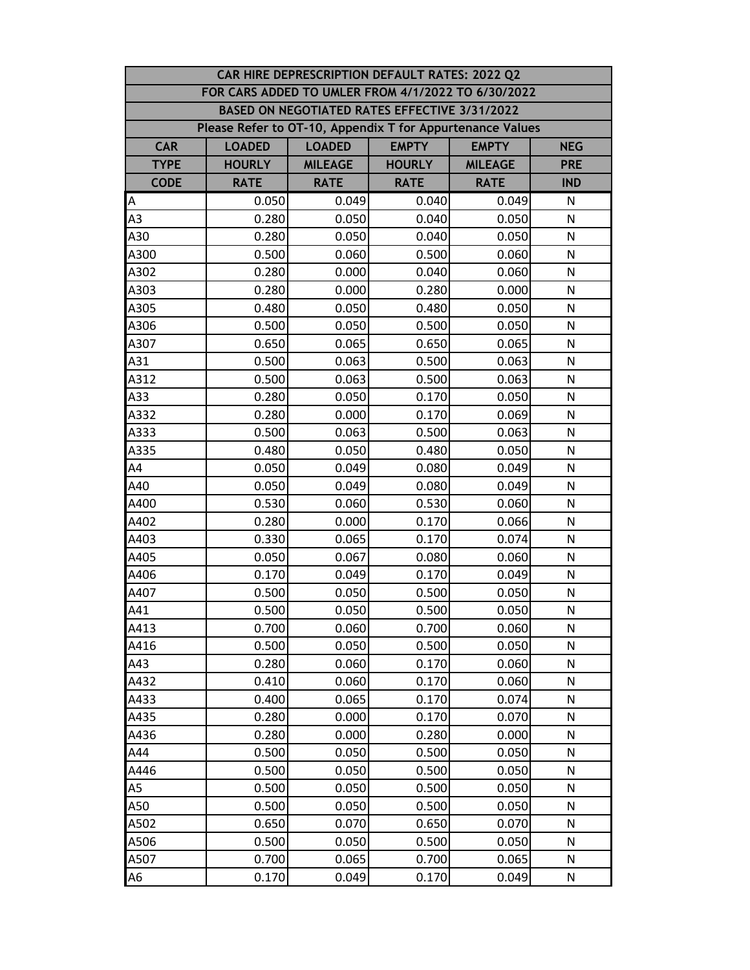| CAR HIRE DEPRESCRIPTION DEFAULT RATES: 2022 Q2 |                                                                              |                                               |               |                |              |  |  |
|------------------------------------------------|------------------------------------------------------------------------------|-----------------------------------------------|---------------|----------------|--------------|--|--|
|                                                | FOR CARS ADDED TO UMLER FROM 4/1/2022 TO 6/30/2022                           |                                               |               |                |              |  |  |
|                                                |                                                                              | BASED ON NEGOTIATED RATES EFFECTIVE 3/31/2022 |               |                |              |  |  |
|                                                | Please Refer to OT-10, Appendix T for Appurtenance Values                    |                                               |               |                |              |  |  |
| <b>CAR</b>                                     | <b>EMPTY</b><br><b>LOADED</b><br><b>LOADED</b><br><b>EMPTY</b><br><b>NEG</b> |                                               |               |                |              |  |  |
| <b>TYPE</b>                                    | <b>HOURLY</b>                                                                | <b>MILEAGE</b>                                | <b>HOURLY</b> | <b>MILEAGE</b> | <b>PRE</b>   |  |  |
| <b>CODE</b>                                    | <b>RATE</b>                                                                  | <b>RATE</b>                                   | <b>RATE</b>   | <b>RATE</b>    | <b>IND</b>   |  |  |
| A                                              | 0.050                                                                        | 0.049                                         | 0.040         | 0.049          | N            |  |  |
| A <sub>3</sub>                                 | 0.280                                                                        | 0.050                                         | 0.040         | 0.050          | N            |  |  |
| A30                                            | 0.280                                                                        | 0.050                                         | 0.040         | 0.050          | N            |  |  |
| A300                                           | 0.500                                                                        | 0.060                                         | 0.500         | 0.060          | N            |  |  |
| A302                                           | 0.280                                                                        | 0.000                                         | 0.040         | 0.060          | N            |  |  |
| A303                                           | 0.280                                                                        | 0.000                                         | 0.280         | 0.000          | N            |  |  |
| A305                                           | 0.480                                                                        | 0.050                                         | 0.480         | 0.050          | N            |  |  |
| A306                                           | 0.500                                                                        | 0.050                                         | 0.500         | 0.050          | N            |  |  |
| A307                                           | 0.650                                                                        | 0.065                                         | 0.650         | 0.065          | N            |  |  |
| A31                                            | 0.500                                                                        | 0.063                                         | 0.500         | 0.063          | N            |  |  |
| A312                                           | 0.500                                                                        | 0.063                                         | 0.500         | 0.063          | N            |  |  |
| A33                                            | 0.280                                                                        | 0.050                                         | 0.170         | 0.050          | N            |  |  |
| A332                                           | 0.280                                                                        | 0.000                                         | 0.170         | 0.069          | N            |  |  |
| A333                                           | 0.500                                                                        | 0.063                                         | 0.500         | 0.063          | N            |  |  |
| A335                                           | 0.480                                                                        | 0.050                                         | 0.480         | 0.050          | N            |  |  |
| AA                                             | 0.050                                                                        | 0.049                                         | 0.080         | 0.049          | $\mathsf{N}$ |  |  |
| A40                                            | 0.050                                                                        | 0.049                                         | 0.080         | 0.049          | $\mathsf{N}$ |  |  |
| A400                                           | 0.530                                                                        | 0.060                                         | 0.530         | 0.060          | N            |  |  |
| A402                                           | 0.280                                                                        | 0.000                                         | 0.170         | 0.066          | N            |  |  |
| A403                                           | 0.330                                                                        | 0.065                                         | 0.170         | 0.074          | N            |  |  |
| A405                                           | 0.050                                                                        | 0.067                                         | 0.080         | 0.060          | N            |  |  |
| A406                                           | 0.170                                                                        | 0.049                                         | 0.170         | 0.049          | $\mathsf{N}$ |  |  |
| A407                                           | 0.500                                                                        | 0.050                                         | 0.500         | 0.050          | N            |  |  |
| A41                                            | 0.500                                                                        | 0.050                                         | 0.500         | 0.050          | $\mathsf{N}$ |  |  |
| A413                                           | 0.700                                                                        | 0.060                                         | 0.700         | 0.060          | N            |  |  |
| A416                                           | 0.500                                                                        | 0.050                                         | 0.500         | 0.050          | N            |  |  |
| A43                                            | 0.280                                                                        | 0.060                                         | 0.170         | 0.060          | N            |  |  |
| A432                                           | 0.410                                                                        | 0.060                                         | 0.170         | 0.060          | N            |  |  |
| A433                                           | 0.400                                                                        | 0.065                                         | 0.170         | 0.074          | N            |  |  |
| A435                                           | 0.280                                                                        | 0.000                                         | 0.170         | 0.070          | N            |  |  |
| A436                                           | 0.280                                                                        | 0.000                                         | 0.280         | 0.000          | N            |  |  |
| A44                                            | 0.500                                                                        | 0.050                                         | 0.500         | 0.050          | N            |  |  |
| A446                                           | 0.500                                                                        | 0.050                                         | 0.500         | 0.050          | N            |  |  |
| A5                                             | 0.500                                                                        | 0.050                                         | 0.500         | 0.050          | N            |  |  |
| A50                                            | 0.500                                                                        | 0.050                                         | 0.500         | 0.050          | N            |  |  |
| A502                                           | 0.650                                                                        | 0.070                                         | 0.650         | 0.070          | N            |  |  |
| A506                                           | 0.500                                                                        | 0.050                                         | 0.500         | 0.050          | N            |  |  |
| A507                                           | 0.700                                                                        | 0.065                                         | 0.700         | 0.065          | N            |  |  |
| A6                                             | 0.170                                                                        | 0.049                                         | 0.170         | 0.049          | N            |  |  |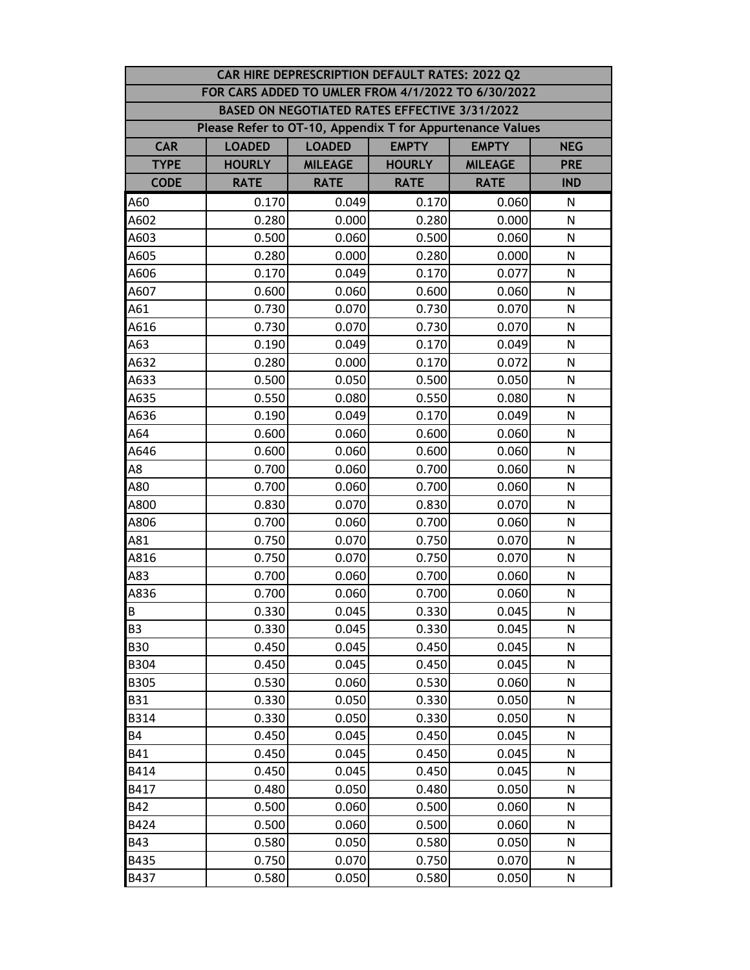|             | CAR HIRE DEPRESCRIPTION DEFAULT RATES: 2022 Q2            |                                                             |               |                |              |  |  |  |
|-------------|-----------------------------------------------------------|-------------------------------------------------------------|---------------|----------------|--------------|--|--|--|
|             | FOR CARS ADDED TO UMLER FROM 4/1/2022 TO 6/30/2022        |                                                             |               |                |              |  |  |  |
|             |                                                           | BASED ON NEGOTIATED RATES EFFECTIVE 3/31/2022               |               |                |              |  |  |  |
|             | Please Refer to OT-10, Appendix T for Appurtenance Values |                                                             |               |                |              |  |  |  |
| <b>CAR</b>  | <b>LOADED</b>                                             | <b>EMPTY</b><br><b>LOADED</b><br><b>EMPTY</b><br><b>NEG</b> |               |                |              |  |  |  |
| <b>TYPE</b> | <b>HOURLY</b>                                             | <b>MILEAGE</b>                                              | <b>HOURLY</b> | <b>MILEAGE</b> | <b>PRE</b>   |  |  |  |
| <b>CODE</b> | <b>RATE</b>                                               | <b>RATE</b>                                                 | <b>RATE</b>   | <b>RATE</b>    | <b>IND</b>   |  |  |  |
| A60         | 0.170                                                     | 0.049                                                       | 0.170         | 0.060          | N            |  |  |  |
| A602        | 0.280                                                     | 0.000                                                       | 0.280         | 0.000          | N            |  |  |  |
| A603        | 0.500                                                     | 0.060                                                       | 0.500         | 0.060          | N            |  |  |  |
| A605        | 0.280                                                     | 0.000                                                       | 0.280         | 0.000          | N            |  |  |  |
| A606        | 0.170                                                     | 0.049                                                       | 0.170         | 0.077          | N            |  |  |  |
| A607        | 0.600                                                     | 0.060                                                       | 0.600         | 0.060          | N            |  |  |  |
| A61         | 0.730                                                     | 0.070                                                       | 0.730         | 0.070          | N            |  |  |  |
| A616        | 0.730                                                     | 0.070                                                       | 0.730         | 0.070          | N            |  |  |  |
| A63         | 0.190                                                     | 0.049                                                       | 0.170         | 0.049          | N            |  |  |  |
| A632        | 0.280                                                     | 0.000                                                       | 0.170         | 0.072          | N            |  |  |  |
| A633        | 0.500                                                     | 0.050                                                       | 0.500         | 0.050          | N            |  |  |  |
| A635        | 0.550                                                     | 0.080                                                       | 0.550         | 0.080          | $\mathsf{N}$ |  |  |  |
| A636        | 0.190                                                     | 0.049                                                       | 0.170         | 0.049          | N            |  |  |  |
| A64         | 0.600                                                     | 0.060                                                       | 0.600         | 0.060          | N            |  |  |  |
| A646        | 0.600                                                     | 0.060                                                       | 0.600         | 0.060          | N            |  |  |  |
| A8          | 0.700                                                     | 0.060                                                       | 0.700         | 0.060          | N            |  |  |  |
| A80         | 0.700                                                     | 0.060                                                       | 0.700         | 0.060          | $\mathsf{N}$ |  |  |  |
| A800        | 0.830                                                     | 0.070                                                       | 0.830         | 0.070          | N            |  |  |  |
| A806        | 0.700                                                     | 0.060                                                       | 0.700         | 0.060          | N            |  |  |  |
| A81         | 0.750                                                     | 0.070                                                       | 0.750         | 0.070          | N            |  |  |  |
| A816        | 0.750                                                     | 0.070                                                       | 0.750         | 0.070          | N            |  |  |  |
| A83         | 0.700                                                     | 0.060                                                       | 0.700         | 0.060          | N            |  |  |  |
| A836        | 0.700                                                     | 0.060                                                       | 0.700         | 0.060          | N            |  |  |  |
| <b>B</b>    | 0.330                                                     | 0.045                                                       | 0.330         | 0.045          | N            |  |  |  |
| <b>B3</b>   | 0.330                                                     | 0.045                                                       | 0.330         | 0.045          | N            |  |  |  |
| <b>B30</b>  | 0.450                                                     | 0.045                                                       | 0.450         | 0.045          | N            |  |  |  |
| <b>B304</b> | 0.450                                                     | 0.045                                                       | 0.450         | 0.045          | N            |  |  |  |
| <b>B305</b> | 0.530                                                     | 0.060                                                       | 0.530         | 0.060          | N            |  |  |  |
| <b>B31</b>  | 0.330                                                     | 0.050                                                       | 0.330         | 0.050          | N            |  |  |  |
| B314        | 0.330                                                     | 0.050                                                       | 0.330         | 0.050          | N            |  |  |  |
| <b>B4</b>   | 0.450                                                     | 0.045                                                       | 0.450         | 0.045          | N            |  |  |  |
| <b>B41</b>  | 0.450                                                     | 0.045                                                       | 0.450         | 0.045          | N            |  |  |  |
| B414        | 0.450                                                     | 0.045                                                       | 0.450         | 0.045          | N            |  |  |  |
| B417        | 0.480                                                     | 0.050                                                       | 0.480         | 0.050          | N            |  |  |  |
| <b>B42</b>  | 0.500                                                     | 0.060                                                       | 0.500         | 0.060          | N            |  |  |  |
| B424        | 0.500                                                     | 0.060                                                       | 0.500         | 0.060          | N            |  |  |  |
| <b>B43</b>  | 0.580                                                     | 0.050                                                       | 0.580         | 0.050          | N            |  |  |  |
| B435        | 0.750                                                     | 0.070                                                       | 0.750         | 0.070          | $\mathsf{N}$ |  |  |  |
| B437        | 0.580                                                     | 0.050                                                       | 0.580         | 0.050          | N            |  |  |  |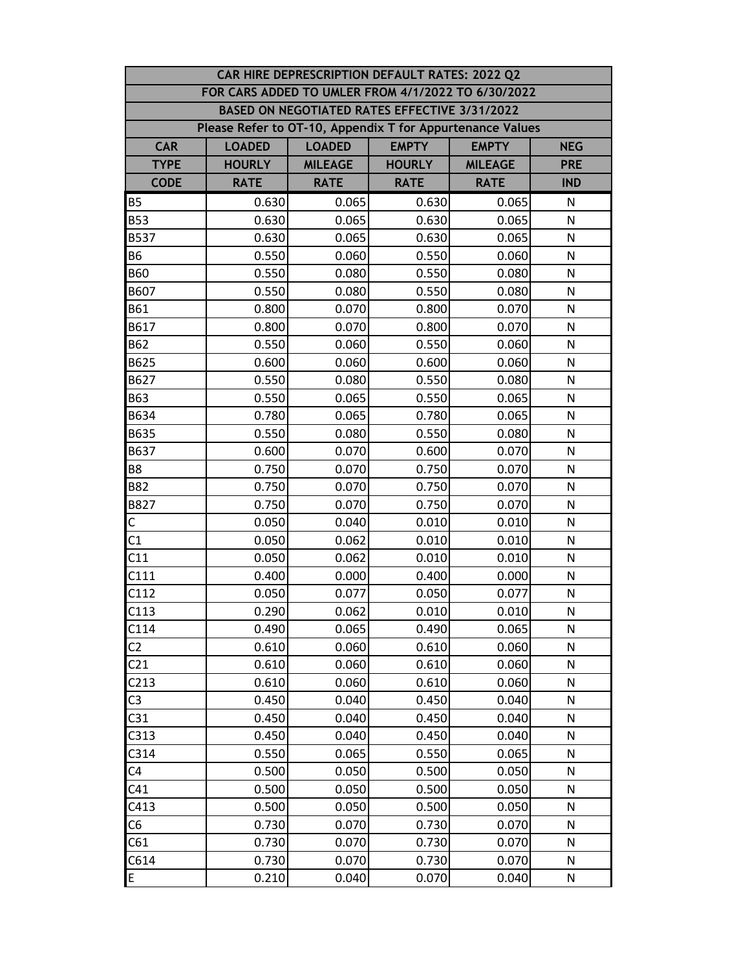| CAR HIRE DEPRESCRIPTION DEFAULT RATES: 2022 Q2 |                                                           |                                                             |                                               |                |              |  |  |  |
|------------------------------------------------|-----------------------------------------------------------|-------------------------------------------------------------|-----------------------------------------------|----------------|--------------|--|--|--|
|                                                | FOR CARS ADDED TO UMLER FROM 4/1/2022 TO 6/30/2022        |                                                             |                                               |                |              |  |  |  |
|                                                |                                                           |                                                             | BASED ON NEGOTIATED RATES EFFECTIVE 3/31/2022 |                |              |  |  |  |
|                                                | Please Refer to OT-10, Appendix T for Appurtenance Values |                                                             |                                               |                |              |  |  |  |
| <b>CAR</b>                                     | <b>LOADED</b>                                             | <b>EMPTY</b><br><b>LOADED</b><br><b>EMPTY</b><br><b>NEG</b> |                                               |                |              |  |  |  |
| <b>TYPE</b>                                    | <b>HOURLY</b>                                             | <b>MILEAGE</b>                                              | <b>HOURLY</b>                                 | <b>MILEAGE</b> | <b>PRE</b>   |  |  |  |
| <b>CODE</b>                                    | <b>RATE</b>                                               | <b>RATE</b>                                                 | <b>RATE</b>                                   | <b>RATE</b>    | <b>IND</b>   |  |  |  |
| <b>B5</b>                                      | 0.630                                                     | 0.065                                                       | 0.630                                         | 0.065          | N            |  |  |  |
| <b>B53</b>                                     | 0.630                                                     | 0.065                                                       | 0.630                                         | 0.065          | N            |  |  |  |
| <b>B537</b>                                    | 0.630                                                     | 0.065                                                       | 0.630                                         | 0.065          | N            |  |  |  |
| <b>B6</b>                                      | 0.550                                                     | 0.060                                                       | 0.550                                         | 0.060          | N            |  |  |  |
| <b>B60</b>                                     | 0.550                                                     | 0.080                                                       | 0.550                                         | 0.080          | N            |  |  |  |
| B607                                           | 0.550                                                     | 0.080                                                       | 0.550                                         | 0.080          | N            |  |  |  |
| <b>B61</b>                                     | 0.800                                                     | 0.070                                                       | 0.800                                         | 0.070          | N            |  |  |  |
| B617                                           | 0.800                                                     | 0.070                                                       | 0.800                                         | 0.070          | N            |  |  |  |
| <b>B62</b>                                     | 0.550                                                     | 0.060                                                       | 0.550                                         | 0.060          | N            |  |  |  |
| B625                                           | 0.600                                                     | 0.060                                                       | 0.600                                         | 0.060          | N            |  |  |  |
| B627                                           | 0.550                                                     | 0.080                                                       | 0.550                                         | 0.080          | N            |  |  |  |
| <b>B63</b>                                     | 0.550                                                     | 0.065                                                       | 0.550                                         | 0.065          | N            |  |  |  |
| B634                                           | 0.780                                                     | 0.065                                                       | 0.780                                         | 0.065          | N            |  |  |  |
| B635                                           | 0.550                                                     | 0.080                                                       | 0.550                                         | 0.080          | N            |  |  |  |
| B637                                           | 0.600                                                     | 0.070                                                       | 0.600                                         | 0.070          | N            |  |  |  |
| B8                                             | 0.750                                                     | 0.070                                                       | 0.750                                         | 0.070          | N            |  |  |  |
| <b>B82</b>                                     | 0.750                                                     | 0.070                                                       | 0.750                                         | 0.070          | N            |  |  |  |
| B827                                           | 0.750                                                     | 0.070                                                       | 0.750                                         | 0.070          | $\mathsf{N}$ |  |  |  |
| $\mathsf{C}$                                   | 0.050                                                     | 0.040                                                       | 0.010                                         | 0.010          | N            |  |  |  |
| C1                                             | 0.050                                                     | 0.062                                                       | 0.010                                         | 0.010          | N            |  |  |  |
| C11                                            | 0.050                                                     | 0.062                                                       | 0.010                                         | 0.010          | N            |  |  |  |
| C111                                           | 0.400                                                     | 0.000                                                       | 0.400                                         | 0.000          | N            |  |  |  |
| C112                                           | 0.050                                                     | 0.077                                                       | 0.050                                         | 0.077          | N            |  |  |  |
| C113                                           | 0.290                                                     | 0.062                                                       | 0.010                                         | 0.010          | ${\sf N}$    |  |  |  |
| C114                                           | 0.490                                                     | 0.065                                                       | 0.490                                         | 0.065          | N            |  |  |  |
| C <sub>2</sub>                                 | 0.610                                                     | 0.060                                                       | 0.610                                         | 0.060          | N            |  |  |  |
| C <sub>21</sub>                                | 0.610                                                     | 0.060                                                       | 0.610                                         | 0.060          | N            |  |  |  |
| C <sub>213</sub>                               | 0.610                                                     | 0.060                                                       | 0.610                                         | 0.060          | N            |  |  |  |
| C <sub>3</sub>                                 | 0.450                                                     | 0.040                                                       | 0.450                                         | 0.040          | N            |  |  |  |
| C31                                            | 0.450                                                     | 0.040                                                       | 0.450                                         | 0.040          | ${\sf N}$    |  |  |  |
| C313                                           | 0.450                                                     | 0.040                                                       | 0.450                                         | 0.040          | N            |  |  |  |
| C314                                           | 0.550                                                     | 0.065                                                       | 0.550                                         | 0.065          | N            |  |  |  |
| C <sub>4</sub>                                 | 0.500                                                     | 0.050                                                       | 0.500                                         | 0.050          | N            |  |  |  |
| C41                                            | 0.500                                                     | 0.050                                                       | 0.500                                         | 0.050          | N            |  |  |  |
| C413                                           | 0.500                                                     | 0.050                                                       | 0.500                                         | 0.050          | N            |  |  |  |
| C <sub>6</sub>                                 | 0.730                                                     | 0.070                                                       | 0.730                                         | 0.070          | N            |  |  |  |
| C61                                            | 0.730                                                     | 0.070                                                       | 0.730                                         | 0.070          | N            |  |  |  |
| C614                                           | 0.730                                                     | 0.070                                                       | 0.730                                         | 0.070          | N            |  |  |  |
| E                                              | 0.210                                                     | 0.040                                                       | 0.070                                         | 0.040          | N            |  |  |  |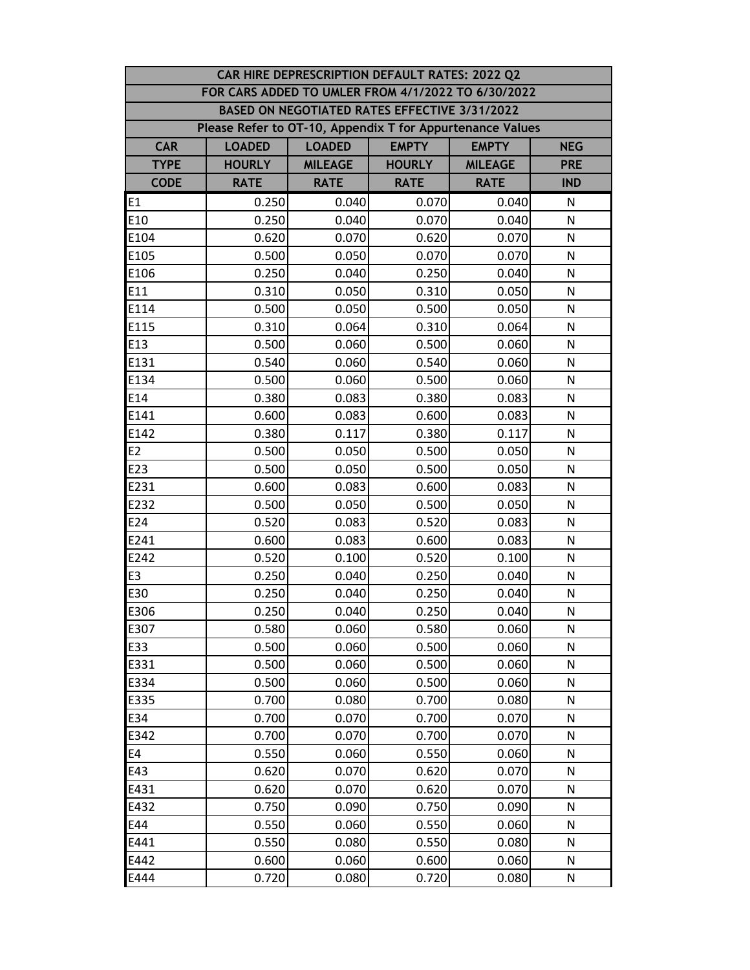| CAR HIRE DEPRESCRIPTION DEFAULT RATES: 2022 Q2 |                                                           |                                                             |               |                |              |  |  |  |
|------------------------------------------------|-----------------------------------------------------------|-------------------------------------------------------------|---------------|----------------|--------------|--|--|--|
|                                                | FOR CARS ADDED TO UMLER FROM 4/1/2022 TO 6/30/2022        |                                                             |               |                |              |  |  |  |
|                                                |                                                           | BASED ON NEGOTIATED RATES EFFECTIVE 3/31/2022               |               |                |              |  |  |  |
|                                                | Please Refer to OT-10, Appendix T for Appurtenance Values |                                                             |               |                |              |  |  |  |
| <b>CAR</b>                                     | <b>LOADED</b>                                             | <b>EMPTY</b><br><b>LOADED</b><br><b>EMPTY</b><br><b>NEG</b> |               |                |              |  |  |  |
| <b>TYPE</b>                                    | <b>HOURLY</b>                                             | <b>MILEAGE</b>                                              | <b>HOURLY</b> | <b>MILEAGE</b> | <b>PRE</b>   |  |  |  |
| <b>CODE</b>                                    | <b>RATE</b>                                               | <b>RATE</b>                                                 | <b>RATE</b>   | <b>RATE</b>    | <b>IND</b>   |  |  |  |
| E <sub>1</sub>                                 | 0.250                                                     | 0.040                                                       | 0.070         | 0.040          | N            |  |  |  |
| E10                                            | 0.250                                                     | 0.040                                                       | 0.070         | 0.040          | N            |  |  |  |
| E104                                           | 0.620                                                     | 0.070                                                       | 0.620         | 0.070          | ${\sf N}$    |  |  |  |
| E105                                           | 0.500                                                     | 0.050                                                       | 0.070         | 0.070          | N            |  |  |  |
| E106                                           | 0.250                                                     | 0.040                                                       | 0.250         | 0.040          | N            |  |  |  |
| E11                                            | 0.310                                                     | 0.050                                                       | 0.310         | 0.050          | N            |  |  |  |
| E114                                           | 0.500                                                     | 0.050                                                       | 0.500         | 0.050          | N            |  |  |  |
| E115                                           | 0.310                                                     | 0.064                                                       | 0.310         | 0.064          | N            |  |  |  |
| E13                                            | 0.500                                                     | 0.060                                                       | 0.500         | 0.060          | N            |  |  |  |
| E131                                           | 0.540                                                     | 0.060                                                       | 0.540         | 0.060          | N            |  |  |  |
| E134                                           | 0.500                                                     | 0.060                                                       | 0.500         | 0.060          | $\mathsf{N}$ |  |  |  |
| E14                                            | 0.380                                                     | 0.083                                                       | 0.380         | 0.083          | $\mathsf{N}$ |  |  |  |
| E141                                           | 0.600                                                     | 0.083                                                       | 0.600         | 0.083          | N            |  |  |  |
| E142                                           | 0.380                                                     | 0.117                                                       | 0.380         | 0.117          | N            |  |  |  |
| E <sub>2</sub>                                 | 0.500                                                     | 0.050                                                       | 0.500         | 0.050          | N            |  |  |  |
| E23                                            | 0.500                                                     | 0.050                                                       | 0.500         | 0.050          | $\mathsf{N}$ |  |  |  |
| E231                                           | 0.600                                                     | 0.083                                                       | 0.600         | 0.083          | $\mathsf{N}$ |  |  |  |
| E232                                           | 0.500                                                     | 0.050                                                       | 0.500         | 0.050          | ${\sf N}$    |  |  |  |
| E24                                            | 0.520                                                     | 0.083                                                       | 0.520         | 0.083          | N            |  |  |  |
| E241                                           | 0.600                                                     | 0.083                                                       | 0.600         | 0.083          | N            |  |  |  |
| E242                                           | 0.520                                                     | 0.100                                                       | 0.520         | 0.100          | N            |  |  |  |
| E <sub>3</sub>                                 | 0.250                                                     | 0.040                                                       | 0.250         | 0.040          | N            |  |  |  |
| E30                                            | 0.250                                                     | 0.040                                                       | 0.250         | 0.040          | N            |  |  |  |
| E306                                           | 0.250                                                     | 0.040                                                       | 0.250         | 0.040          | N            |  |  |  |
| E307                                           | 0.580                                                     | 0.060                                                       | 0.580         | 0.060          | N            |  |  |  |
| E33                                            | 0.500                                                     | 0.060                                                       | 0.500         | 0.060          | N            |  |  |  |
| E331                                           | 0.500                                                     | 0.060                                                       | 0.500         | 0.060          | N            |  |  |  |
| E334                                           | 0.500                                                     | 0.060                                                       | 0.500         | 0.060          | N            |  |  |  |
| E335                                           | 0.700                                                     | 0.080                                                       | 0.700         | 0.080          | N            |  |  |  |
| E34                                            | 0.700                                                     | 0.070                                                       | 0.700         | 0.070          | N            |  |  |  |
| E342                                           | 0.700                                                     | 0.070                                                       | 0.700         | 0.070          | N            |  |  |  |
| E4                                             | 0.550                                                     | 0.060                                                       | 0.550         | 0.060          | N            |  |  |  |
| E43                                            | 0.620                                                     | 0.070                                                       | 0.620         | 0.070          | N            |  |  |  |
| E431                                           | 0.620                                                     | 0.070                                                       | 0.620         | 0.070          | N            |  |  |  |
| E432                                           | 0.750                                                     | 0.090                                                       | 0.750         | 0.090          | N            |  |  |  |
| E44                                            | 0.550                                                     | 0.060                                                       | 0.550         | 0.060          | N            |  |  |  |
| E441                                           | 0.550                                                     | 0.080                                                       | 0.550         | 0.080          | N            |  |  |  |
| E442                                           | 0.600                                                     | 0.060                                                       | 0.600         | 0.060          | N            |  |  |  |
| E444                                           | 0.720                                                     | 0.080                                                       | 0.720         | 0.080          | N            |  |  |  |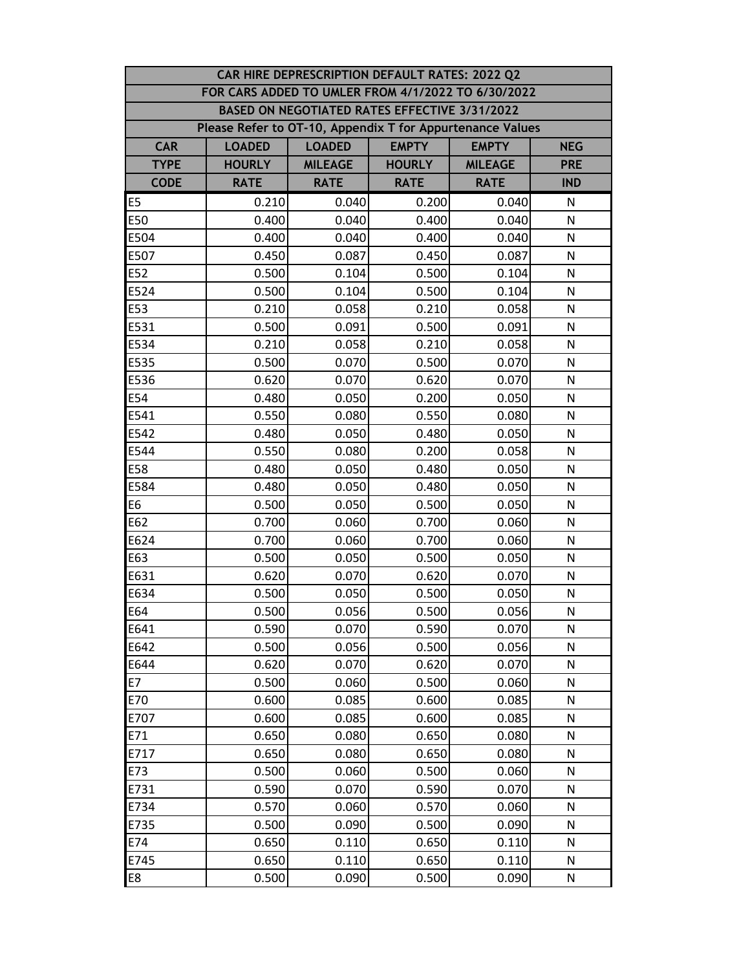| CAR HIRE DEPRESCRIPTION DEFAULT RATES: 2022 Q2 |                                                           |                                                             |                                               |                |              |  |  |  |
|------------------------------------------------|-----------------------------------------------------------|-------------------------------------------------------------|-----------------------------------------------|----------------|--------------|--|--|--|
|                                                | FOR CARS ADDED TO UMLER FROM 4/1/2022 TO 6/30/2022        |                                                             |                                               |                |              |  |  |  |
|                                                |                                                           |                                                             | BASED ON NEGOTIATED RATES EFFECTIVE 3/31/2022 |                |              |  |  |  |
|                                                | Please Refer to OT-10, Appendix T for Appurtenance Values |                                                             |                                               |                |              |  |  |  |
| <b>CAR</b>                                     | <b>LOADED</b>                                             | <b>EMPTY</b><br><b>LOADED</b><br><b>EMPTY</b><br><b>NEG</b> |                                               |                |              |  |  |  |
| <b>TYPE</b>                                    | <b>HOURLY</b>                                             | <b>MILEAGE</b>                                              | <b>HOURLY</b>                                 | <b>MILEAGE</b> | <b>PRE</b>   |  |  |  |
| <b>CODE</b>                                    | <b>RATE</b>                                               | <b>RATE</b>                                                 | <b>RATE</b>                                   | <b>RATE</b>    | <b>IND</b>   |  |  |  |
| E <sub>5</sub>                                 | 0.210                                                     | 0.040                                                       | 0.200                                         | 0.040          | N            |  |  |  |
| E50                                            | 0.400                                                     | 0.040                                                       | 0.400                                         | 0.040          | N            |  |  |  |
| E504                                           | 0.400                                                     | 0.040                                                       | 0.400                                         | 0.040          | ${\sf N}$    |  |  |  |
| E507                                           | 0.450                                                     | 0.087                                                       | 0.450                                         | 0.087          | N            |  |  |  |
| E52                                            | 0.500                                                     | 0.104                                                       | 0.500                                         | 0.104          | N            |  |  |  |
| E524                                           | 0.500                                                     | 0.104                                                       | 0.500                                         | 0.104          | N            |  |  |  |
| E53                                            | 0.210                                                     | 0.058                                                       | 0.210                                         | 0.058          | N            |  |  |  |
| E531                                           | 0.500                                                     | 0.091                                                       | 0.500                                         | 0.091          | N            |  |  |  |
| E534                                           | 0.210                                                     | 0.058                                                       | 0.210                                         | 0.058          | N            |  |  |  |
| E535                                           | 0.500                                                     | 0.070                                                       | 0.500                                         | 0.070          | N            |  |  |  |
| E536                                           | 0.620                                                     | 0.070                                                       | 0.620                                         | 0.070          | $\mathsf{N}$ |  |  |  |
| E54                                            | 0.480                                                     | 0.050                                                       | 0.200                                         | 0.050          | N            |  |  |  |
| E541                                           | 0.550                                                     | 0.080                                                       | 0.550                                         | 0.080          | N            |  |  |  |
| E542                                           | 0.480                                                     | 0.050                                                       | 0.480                                         | 0.050          | N            |  |  |  |
| E544                                           | 0.550                                                     | 0.080                                                       | 0.200                                         | 0.058          | N            |  |  |  |
| E58                                            | 0.480                                                     | 0.050                                                       | 0.480                                         | 0.050          | $\mathsf{N}$ |  |  |  |
| E584                                           | 0.480                                                     | 0.050                                                       | 0.480                                         | 0.050          | N            |  |  |  |
| E6                                             | 0.500                                                     | 0.050                                                       | 0.500                                         | 0.050          | ${\sf N}$    |  |  |  |
| E62                                            | 0.700                                                     | 0.060                                                       | 0.700                                         | 0.060          | N            |  |  |  |
| E624                                           | 0.700                                                     | 0.060                                                       | 0.700                                         | 0.060          | N            |  |  |  |
| E63                                            | 0.500                                                     | 0.050                                                       | 0.500                                         | 0.050          | N            |  |  |  |
| E631                                           | 0.620                                                     | 0.070                                                       | 0.620                                         | 0.070          | N            |  |  |  |
| E634                                           | 0.500                                                     | 0.050                                                       | 0.500                                         | 0.050          | N            |  |  |  |
| E64                                            | 0.500                                                     | 0.056                                                       | 0.500                                         | 0.056          | N            |  |  |  |
| E641                                           | 0.590                                                     | 0.070                                                       | 0.590                                         | 0.070          | N            |  |  |  |
| E642                                           | 0.500                                                     | 0.056                                                       | 0.500                                         | 0.056          | N            |  |  |  |
| E644                                           | 0.620                                                     | 0.070                                                       | 0.620                                         | 0.070          | N            |  |  |  |
| E7                                             | 0.500                                                     | 0.060                                                       | 0.500                                         | 0.060          | N            |  |  |  |
| E70                                            | 0.600                                                     | 0.085                                                       | 0.600                                         | 0.085          | N            |  |  |  |
| E707                                           | 0.600                                                     | 0.085                                                       | 0.600                                         | 0.085          | N            |  |  |  |
| E71                                            | 0.650                                                     | 0.080                                                       | 0.650                                         | 0.080          | N            |  |  |  |
| E717                                           | 0.650                                                     | 0.080                                                       | 0.650                                         | 0.080          | N            |  |  |  |
| E73                                            | 0.500                                                     | 0.060                                                       | 0.500                                         | 0.060          | N            |  |  |  |
| E731                                           | 0.590                                                     | 0.070                                                       | 0.590                                         | 0.070          | N            |  |  |  |
| E734                                           | 0.570                                                     | 0.060                                                       | 0.570                                         | 0.060          | N            |  |  |  |
| E735                                           | 0.500                                                     | 0.090                                                       | 0.500                                         | 0.090          | N            |  |  |  |
| E74                                            | 0.650                                                     | 0.110                                                       | 0.650                                         | 0.110          | N            |  |  |  |
| E745                                           | 0.650                                                     | 0.110                                                       | 0.650                                         | 0.110          | N            |  |  |  |
| E8                                             | 0.500                                                     | 0.090                                                       | 0.500                                         | 0.090          | N            |  |  |  |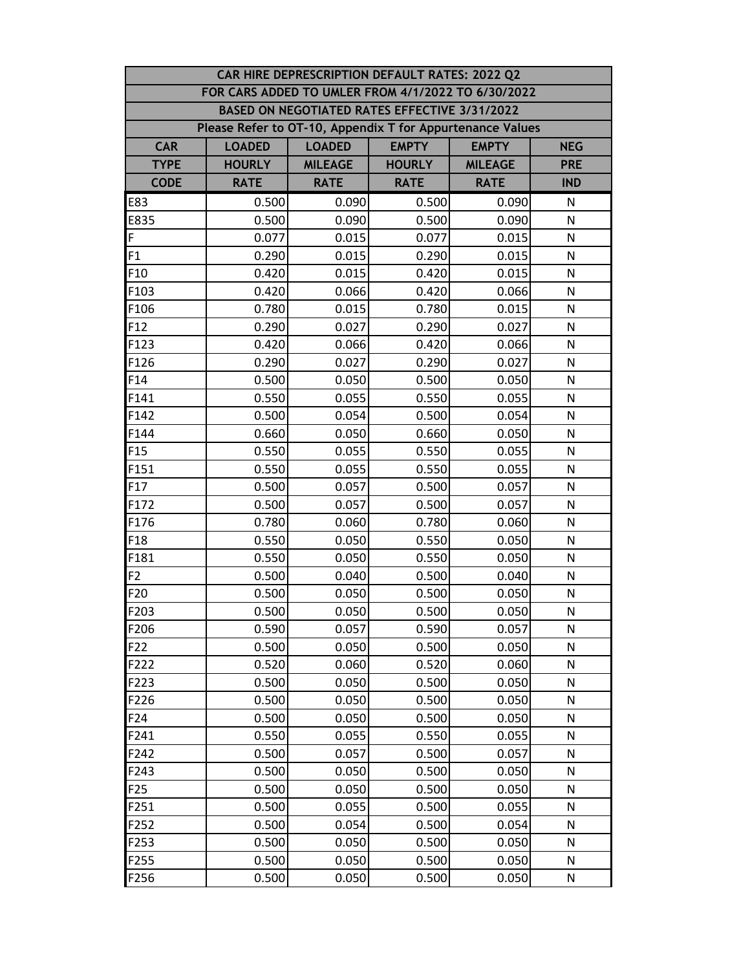| CAR HIRE DEPRESCRIPTION DEFAULT RATES: 2022 Q2 |                                                           |                                                             |                                               |                |              |  |  |  |
|------------------------------------------------|-----------------------------------------------------------|-------------------------------------------------------------|-----------------------------------------------|----------------|--------------|--|--|--|
|                                                | FOR CARS ADDED TO UMLER FROM 4/1/2022 TO 6/30/2022        |                                                             |                                               |                |              |  |  |  |
|                                                |                                                           |                                                             | BASED ON NEGOTIATED RATES EFFECTIVE 3/31/2022 |                |              |  |  |  |
|                                                | Please Refer to OT-10, Appendix T for Appurtenance Values |                                                             |                                               |                |              |  |  |  |
| <b>CAR</b>                                     | <b>LOADED</b>                                             | <b>EMPTY</b><br><b>LOADED</b><br><b>EMPTY</b><br><b>NEG</b> |                                               |                |              |  |  |  |
| <b>TYPE</b>                                    | <b>HOURLY</b>                                             | <b>MILEAGE</b>                                              | <b>HOURLY</b>                                 | <b>MILEAGE</b> | <b>PRE</b>   |  |  |  |
| <b>CODE</b>                                    | <b>RATE</b>                                               | <b>RATE</b>                                                 | <b>RATE</b>                                   | <b>RATE</b>    | <b>IND</b>   |  |  |  |
| E83                                            | 0.500                                                     | 0.090                                                       | 0.500                                         | 0.090          | N            |  |  |  |
| E835                                           | 0.500                                                     | 0.090                                                       | 0.500                                         | 0.090          | N            |  |  |  |
| F                                              | 0.077                                                     | 0.015                                                       | 0.077                                         | 0.015          | ${\sf N}$    |  |  |  |
| F1                                             | 0.290                                                     | 0.015                                                       | 0.290                                         | 0.015          | N            |  |  |  |
| F <sub>10</sub>                                | 0.420                                                     | 0.015                                                       | 0.420                                         | 0.015          | N            |  |  |  |
| F103                                           | 0.420                                                     | 0.066                                                       | 0.420                                         | 0.066          | N            |  |  |  |
| F106                                           | 0.780                                                     | 0.015                                                       | 0.780                                         | 0.015          | N            |  |  |  |
| F <sub>12</sub>                                | 0.290                                                     | 0.027                                                       | 0.290                                         | 0.027          | N            |  |  |  |
| F123                                           | 0.420                                                     | 0.066                                                       | 0.420                                         | 0.066          | N            |  |  |  |
| F126                                           | 0.290                                                     | 0.027                                                       | 0.290                                         | 0.027          | N            |  |  |  |
| F14                                            | 0.500                                                     | 0.050                                                       | 0.500                                         | 0.050          | $\mathsf{N}$ |  |  |  |
| F141                                           | 0.550                                                     | 0.055                                                       | 0.550                                         | 0.055          | N            |  |  |  |
| F142                                           | 0.500                                                     | 0.054                                                       | 0.500                                         | 0.054          | N            |  |  |  |
| F144                                           | 0.660                                                     | 0.050                                                       | 0.660                                         | 0.050          | N            |  |  |  |
| F <sub>15</sub>                                | 0.550                                                     | 0.055                                                       | 0.550                                         | 0.055          | N            |  |  |  |
| F151                                           | 0.550                                                     | 0.055                                                       | 0.550                                         | 0.055          | $\mathsf{N}$ |  |  |  |
| F17                                            | 0.500                                                     | 0.057                                                       | 0.500                                         | 0.057          | N            |  |  |  |
| F172                                           | 0.500                                                     | 0.057                                                       | 0.500                                         | 0.057          | ${\sf N}$    |  |  |  |
| F176                                           | 0.780                                                     | 0.060                                                       | 0.780                                         | 0.060          | N            |  |  |  |
| F <sub>18</sub>                                | 0.550                                                     | 0.050                                                       | 0.550                                         | 0.050          | N            |  |  |  |
| F181                                           | 0.550                                                     | 0.050                                                       | 0.550                                         | 0.050          | N            |  |  |  |
| F <sub>2</sub>                                 | 0.500                                                     | 0.040                                                       | 0.500                                         | 0.040          | N            |  |  |  |
| F20                                            | 0.500                                                     | 0.050                                                       | 0.500                                         | 0.050          | N            |  |  |  |
| F203                                           | 0.500                                                     | 0.050                                                       | 0.500                                         | 0.050          | N            |  |  |  |
| F206                                           | 0.590                                                     | 0.057                                                       | 0.590                                         | 0.057          | N            |  |  |  |
| F22                                            | 0.500                                                     | 0.050                                                       | 0.500                                         | 0.050          | N            |  |  |  |
| F222                                           | 0.520                                                     | 0.060                                                       | 0.520                                         | 0.060          | N            |  |  |  |
| F223                                           | 0.500                                                     | 0.050                                                       | 0.500                                         | 0.050          | N            |  |  |  |
| F226                                           | 0.500                                                     | 0.050                                                       | 0.500                                         | 0.050          | N            |  |  |  |
| F24                                            | 0.500                                                     | 0.050                                                       | 0.500                                         | 0.050          | N            |  |  |  |
| F241                                           | 0.550                                                     | 0.055                                                       | 0.550                                         | 0.055          | N            |  |  |  |
| F242                                           | 0.500                                                     | 0.057                                                       | 0.500                                         | 0.057          | N            |  |  |  |
| F243                                           | 0.500                                                     | 0.050                                                       | 0.500                                         | 0.050          | N            |  |  |  |
| F <sub>25</sub>                                | 0.500                                                     | 0.050                                                       | 0.500                                         | 0.050          | N            |  |  |  |
| F251                                           | 0.500                                                     | 0.055                                                       | 0.500                                         | 0.055          | N            |  |  |  |
| F252                                           | 0.500                                                     | 0.054                                                       | 0.500                                         | 0.054          | N            |  |  |  |
| F253                                           | 0.500                                                     | 0.050                                                       | 0.500                                         | 0.050          | N            |  |  |  |
| F255                                           | 0.500                                                     | 0.050                                                       | 0.500                                         | 0.050          | N            |  |  |  |
| F256                                           | 0.500                                                     | 0.050                                                       | 0.500                                         | 0.050          | N            |  |  |  |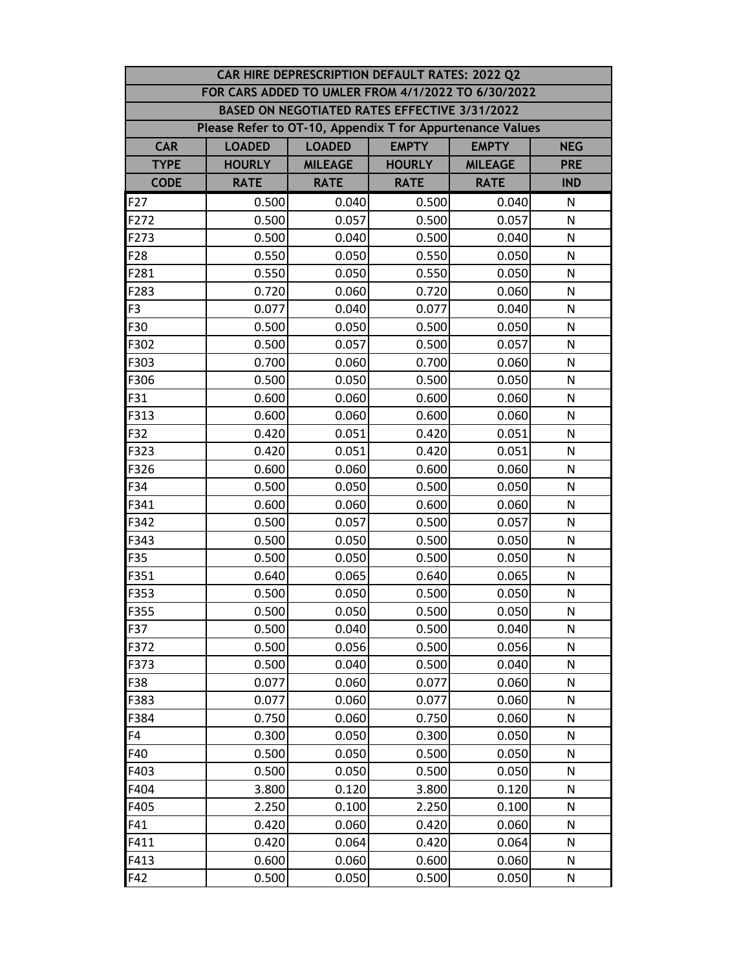| CAR HIRE DEPRESCRIPTION DEFAULT RATES: 2022 Q2 |                                                           |                                                             |                                               |                |              |  |  |  |
|------------------------------------------------|-----------------------------------------------------------|-------------------------------------------------------------|-----------------------------------------------|----------------|--------------|--|--|--|
|                                                | FOR CARS ADDED TO UMLER FROM 4/1/2022 TO 6/30/2022        |                                                             |                                               |                |              |  |  |  |
|                                                |                                                           |                                                             | BASED ON NEGOTIATED RATES EFFECTIVE 3/31/2022 |                |              |  |  |  |
|                                                | Please Refer to OT-10, Appendix T for Appurtenance Values |                                                             |                                               |                |              |  |  |  |
| <b>CAR</b>                                     | <b>LOADED</b>                                             | <b>EMPTY</b><br><b>LOADED</b><br><b>EMPTY</b><br><b>NEG</b> |                                               |                |              |  |  |  |
| <b>TYPE</b>                                    | <b>HOURLY</b>                                             | <b>MILEAGE</b>                                              | <b>HOURLY</b>                                 | <b>MILEAGE</b> | <b>PRE</b>   |  |  |  |
| <b>CODE</b>                                    | <b>RATE</b>                                               | <b>RATE</b>                                                 | <b>RATE</b>                                   | <b>RATE</b>    | <b>IND</b>   |  |  |  |
| F <sub>2</sub> 7                               | 0.500                                                     | 0.040                                                       | 0.500                                         | 0.040          | N            |  |  |  |
| F272                                           | 0.500                                                     | 0.057                                                       | 0.500                                         | 0.057          | N            |  |  |  |
| F273                                           | 0.500                                                     | 0.040                                                       | 0.500                                         | 0.040          | N            |  |  |  |
| F28                                            | 0.550                                                     | 0.050                                                       | 0.550                                         | 0.050          | N            |  |  |  |
| F281                                           | 0.550                                                     | 0.050                                                       | 0.550                                         | 0.050          | N            |  |  |  |
| F283                                           | 0.720                                                     | 0.060                                                       | 0.720                                         | 0.060          | N            |  |  |  |
| F <sub>3</sub>                                 | 0.077                                                     | 0.040                                                       | 0.077                                         | 0.040          | N            |  |  |  |
| F30                                            | 0.500                                                     | 0.050                                                       | 0.500                                         | 0.050          | N            |  |  |  |
| F302                                           | 0.500                                                     | 0.057                                                       | 0.500                                         | 0.057          | N            |  |  |  |
| F303                                           | 0.700                                                     | 0.060                                                       | 0.700                                         | 0.060          | N            |  |  |  |
| F306                                           | 0.500                                                     | 0.050                                                       | 0.500                                         | 0.050          | N            |  |  |  |
| F31                                            | 0.600                                                     | 0.060                                                       | 0.600                                         | 0.060          | N            |  |  |  |
| F313                                           | 0.600                                                     | 0.060                                                       | 0.600                                         | 0.060          | $\mathsf{N}$ |  |  |  |
| F32                                            | 0.420                                                     | 0.051                                                       | 0.420                                         | 0.051          | N            |  |  |  |
| F323                                           | 0.420                                                     | 0.051                                                       | 0.420                                         | 0.051          | N            |  |  |  |
| F326                                           | 0.600                                                     | 0.060                                                       | 0.600                                         | 0.060          | N            |  |  |  |
| F34                                            | 0.500                                                     | 0.050                                                       | 0.500                                         | 0.050          | N            |  |  |  |
| F341                                           | 0.600                                                     | 0.060                                                       | 0.600                                         | 0.060          | $\mathsf{N}$ |  |  |  |
| F342                                           | 0.500                                                     | 0.057                                                       | 0.500                                         | 0.057          | N            |  |  |  |
| F343                                           | 0.500                                                     | 0.050                                                       | 0.500                                         | 0.050          | N            |  |  |  |
| F35                                            | 0.500                                                     | 0.050                                                       | 0.500                                         | 0.050          | N            |  |  |  |
| F351                                           | 0.640                                                     | 0.065                                                       | 0.640                                         | 0.065          | N            |  |  |  |
| F353                                           | 0.500                                                     | 0.050                                                       | 0.500                                         | 0.050          | N            |  |  |  |
| F355                                           | 0.500                                                     | 0.050                                                       | 0.500                                         | 0.050          | ${\sf N}$    |  |  |  |
| F37                                            | 0.500                                                     | 0.040                                                       | 0.500                                         | 0.040          | N            |  |  |  |
| F372                                           | 0.500                                                     | 0.056                                                       | 0.500                                         | 0.056          | N            |  |  |  |
| F373                                           | 0.500                                                     | 0.040                                                       | 0.500                                         | 0.040          | N            |  |  |  |
| F38                                            | 0.077                                                     | 0.060                                                       | 0.077                                         | 0.060          | N            |  |  |  |
| F383                                           | 0.077                                                     | 0.060                                                       | 0.077                                         | 0.060          | N            |  |  |  |
| F384                                           | 0.750                                                     | 0.060                                                       | 0.750                                         | 0.060          | N            |  |  |  |
| F4                                             | 0.300                                                     | 0.050                                                       | 0.300                                         | 0.050          | N            |  |  |  |
| F40                                            | 0.500                                                     | 0.050                                                       | 0.500                                         | 0.050          | N            |  |  |  |
| F403                                           | 0.500                                                     | 0.050                                                       | 0.500                                         | 0.050          | N            |  |  |  |
| F404                                           | 3.800                                                     | 0.120                                                       | 3.800                                         | 0.120          | N            |  |  |  |
| F405                                           | 2.250                                                     | 0.100                                                       | 2.250                                         | 0.100          | N            |  |  |  |
| F41                                            | 0.420                                                     | 0.060                                                       | 0.420                                         | 0.060          | N            |  |  |  |
| F411                                           | 0.420                                                     | 0.064                                                       | 0.420                                         | 0.064          | N            |  |  |  |
| F413                                           | 0.600                                                     | 0.060                                                       | 0.600                                         | 0.060          | N            |  |  |  |
| F42                                            | 0.500                                                     | 0.050                                                       | 0.500                                         | 0.050          | N            |  |  |  |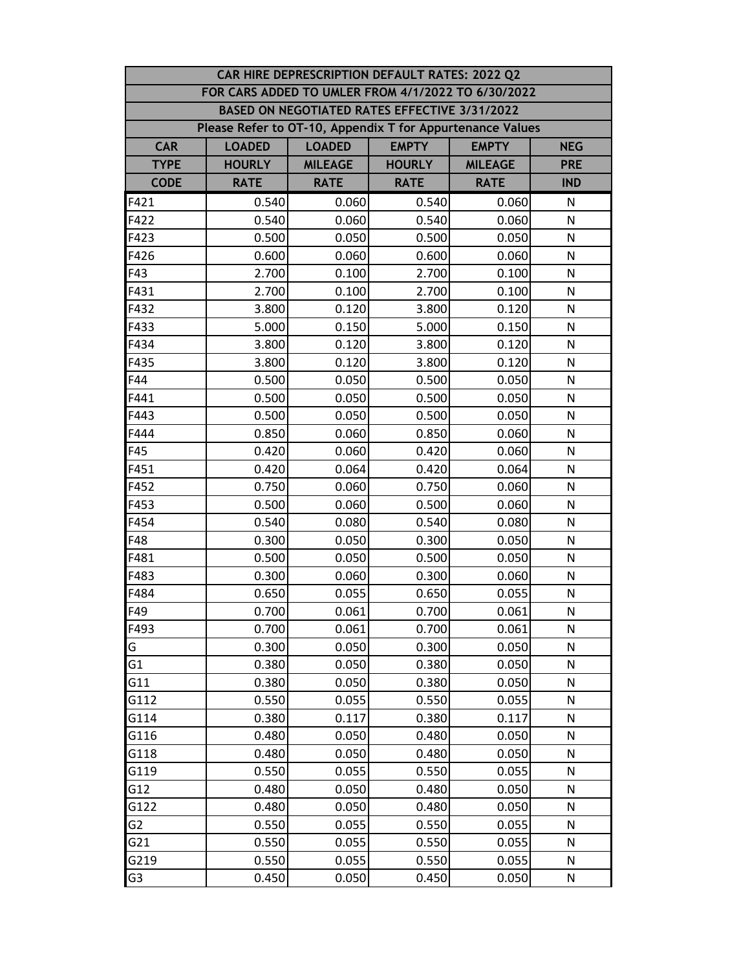| CAR HIRE DEPRESCRIPTION DEFAULT RATES: 2022 Q2 |                                                           |                                                             |               |                |              |  |  |  |
|------------------------------------------------|-----------------------------------------------------------|-------------------------------------------------------------|---------------|----------------|--------------|--|--|--|
|                                                | FOR CARS ADDED TO UMLER FROM 4/1/2022 TO 6/30/2022        |                                                             |               |                |              |  |  |  |
|                                                |                                                           | BASED ON NEGOTIATED RATES EFFECTIVE 3/31/2022               |               |                |              |  |  |  |
|                                                | Please Refer to OT-10, Appendix T for Appurtenance Values |                                                             |               |                |              |  |  |  |
| <b>CAR</b>                                     | <b>LOADED</b>                                             | <b>EMPTY</b><br><b>LOADED</b><br><b>EMPTY</b><br><b>NEG</b> |               |                |              |  |  |  |
| <b>TYPE</b>                                    | <b>HOURLY</b>                                             | <b>MILEAGE</b>                                              | <b>HOURLY</b> | <b>MILEAGE</b> | <b>PRE</b>   |  |  |  |
| <b>CODE</b>                                    | <b>RATE</b>                                               | <b>RATE</b>                                                 | <b>RATE</b>   | <b>RATE</b>    | <b>IND</b>   |  |  |  |
| F421                                           | 0.540                                                     | 0.060                                                       | 0.540         | 0.060          | N            |  |  |  |
| F422                                           | 0.540                                                     | 0.060                                                       | 0.540         | 0.060          | N            |  |  |  |
| F423                                           | 0.500                                                     | 0.050                                                       | 0.500         | 0.050          | N            |  |  |  |
| F426                                           | 0.600                                                     | 0.060                                                       | 0.600         | 0.060          | N            |  |  |  |
| F43                                            | 2.700                                                     | 0.100                                                       | 2.700         | 0.100          | N            |  |  |  |
| F431                                           | 2.700                                                     | 0.100                                                       | 2.700         | 0.100          | N            |  |  |  |
| F432                                           | 3.800                                                     | 0.120                                                       | 3.800         | 0.120          | N            |  |  |  |
| F433                                           | 5.000                                                     | 0.150                                                       | 5.000         | 0.150          | N            |  |  |  |
| F434                                           | 3.800                                                     | 0.120                                                       | 3.800         | 0.120          | N            |  |  |  |
| F435                                           | 3.800                                                     | 0.120                                                       | 3.800         | 0.120          | N            |  |  |  |
| F44                                            | 0.500                                                     | 0.050                                                       | 0.500         | 0.050          | N            |  |  |  |
| F441                                           | 0.500                                                     | 0.050                                                       | 0.500         | 0.050          | N            |  |  |  |
| F443                                           | 0.500                                                     | 0.050                                                       | 0.500         | 0.050          | N            |  |  |  |
| F444                                           | 0.850                                                     | 0.060                                                       | 0.850         | 0.060          | N            |  |  |  |
| F45                                            | 0.420                                                     | 0.060                                                       | 0.420         | 0.060          | N            |  |  |  |
| F451                                           | 0.420                                                     | 0.064                                                       | 0.420         | 0.064          | N            |  |  |  |
| F452                                           | 0.750                                                     | 0.060                                                       | 0.750         | 0.060          | N            |  |  |  |
| F453                                           | 0.500                                                     | 0.060                                                       | 0.500         | 0.060          | $\mathsf{N}$ |  |  |  |
| F454                                           | 0.540                                                     | 0.080                                                       | 0.540         | 0.080          | N            |  |  |  |
| F48                                            | 0.300                                                     | 0.050                                                       | 0.300         | 0.050          | N            |  |  |  |
| F481                                           | 0.500                                                     | 0.050                                                       | 0.500         | 0.050          | N            |  |  |  |
| F483                                           | 0.300                                                     | 0.060                                                       | 0.300         | 0.060          | N            |  |  |  |
| F484                                           | 0.650                                                     | 0.055                                                       | 0.650         | 0.055          | N            |  |  |  |
| F49                                            | 0.700                                                     | 0.061                                                       | 0.700         | 0.061          | ${\sf N}$    |  |  |  |
| F493                                           | 0.700                                                     | 0.061                                                       | 0.700         | 0.061          | N            |  |  |  |
| G                                              | 0.300                                                     | 0.050                                                       | 0.300         | 0.050          | N            |  |  |  |
| G <sub>1</sub>                                 | 0.380                                                     | 0.050                                                       | 0.380         | 0.050          | N            |  |  |  |
| G11                                            | 0.380                                                     | 0.050                                                       | 0.380         | 0.050          | N            |  |  |  |
| G112                                           | 0.550                                                     | 0.055                                                       | 0.550         | 0.055          | N            |  |  |  |
| G114                                           | 0.380                                                     | 0.117                                                       | 0.380         | 0.117          | N            |  |  |  |
| G116                                           | 0.480                                                     | 0.050                                                       | 0.480         | 0.050          | N            |  |  |  |
| G118                                           | 0.480                                                     | 0.050                                                       | 0.480         | 0.050          | N            |  |  |  |
| G119                                           | 0.550                                                     | 0.055                                                       | 0.550         | 0.055          | N            |  |  |  |
| G12                                            | 0.480                                                     | 0.050                                                       | 0.480         | 0.050          | N            |  |  |  |
| G122                                           | 0.480                                                     | 0.050                                                       | 0.480         | 0.050          | N            |  |  |  |
| G <sub>2</sub>                                 | 0.550                                                     | 0.055                                                       | 0.550         | 0.055          | N            |  |  |  |
| G21                                            | 0.550                                                     | 0.055                                                       | 0.550         | 0.055          | N            |  |  |  |
| G219                                           | 0.550                                                     | 0.055                                                       | 0.550         | 0.055          | N            |  |  |  |
| G <sub>3</sub>                                 | 0.450                                                     | 0.050                                                       | 0.450         | 0.050          | N            |  |  |  |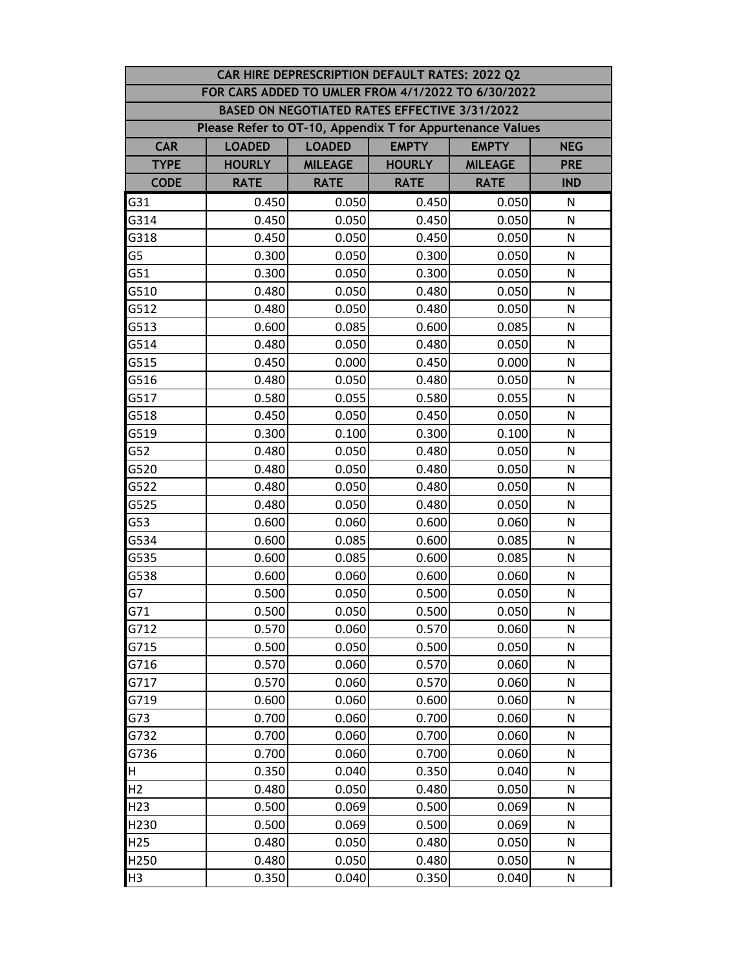| CAR HIRE DEPRESCRIPTION DEFAULT RATES: 2022 Q2 |                                                           |                                                             |               |                |              |  |  |  |
|------------------------------------------------|-----------------------------------------------------------|-------------------------------------------------------------|---------------|----------------|--------------|--|--|--|
|                                                | FOR CARS ADDED TO UMLER FROM 4/1/2022 TO 6/30/2022        |                                                             |               |                |              |  |  |  |
|                                                |                                                           | <b>BASED ON NEGOTIATED RATES EFFECTIVE 3/31/2022</b>        |               |                |              |  |  |  |
|                                                | Please Refer to OT-10, Appendix T for Appurtenance Values |                                                             |               |                |              |  |  |  |
| <b>CAR</b>                                     | <b>LOADED</b>                                             | <b>EMPTY</b><br><b>LOADED</b><br><b>EMPTY</b><br><b>NEG</b> |               |                |              |  |  |  |
| <b>TYPE</b>                                    | <b>HOURLY</b>                                             | <b>MILEAGE</b>                                              | <b>HOURLY</b> | <b>MILEAGE</b> | <b>PRE</b>   |  |  |  |
| <b>CODE</b>                                    | <b>RATE</b>                                               | <b>RATE</b>                                                 | <b>RATE</b>   | <b>RATE</b>    | <b>IND</b>   |  |  |  |
| G31                                            | 0.450                                                     | 0.050                                                       | 0.450         | 0.050          | N            |  |  |  |
| G314                                           | 0.450                                                     | 0.050                                                       | 0.450         | 0.050          | $\mathsf{N}$ |  |  |  |
| G318                                           | 0.450                                                     | 0.050                                                       | 0.450         | 0.050          | N            |  |  |  |
| G5                                             | 0.300                                                     | 0.050                                                       | 0.300         | 0.050          | N            |  |  |  |
| G51                                            | 0.300                                                     | 0.050                                                       | 0.300         | 0.050          | N            |  |  |  |
| G510                                           | 0.480                                                     | 0.050                                                       | 0.480         | 0.050          | N            |  |  |  |
| G512                                           | 0.480                                                     | 0.050                                                       | 0.480         | 0.050          | N            |  |  |  |
| G513                                           | 0.600                                                     | 0.085                                                       | 0.600         | 0.085          | N            |  |  |  |
| G514                                           | 0.480                                                     | 0.050                                                       | 0.480         | 0.050          | N            |  |  |  |
| G515                                           | 0.450                                                     | 0.000                                                       | 0.450         | 0.000          | N            |  |  |  |
| G516                                           | 0.480                                                     | 0.050                                                       | 0.480         | 0.050          | N            |  |  |  |
| G517                                           | 0.580                                                     | 0.055                                                       | 0.580         | 0.055          | N            |  |  |  |
| G518                                           | 0.450                                                     | 0.050                                                       | 0.450         | 0.050          | N            |  |  |  |
| G519                                           | 0.300                                                     | 0.100                                                       | 0.300         | 0.100          | N            |  |  |  |
| G52                                            | 0.480                                                     | 0.050                                                       | 0.480         | 0.050          | N            |  |  |  |
| G520                                           | 0.480                                                     | 0.050                                                       | 0.480         | 0.050          | N            |  |  |  |
| G522                                           | 0.480                                                     | 0.050                                                       | 0.480         | 0.050          | N            |  |  |  |
| G525                                           | 0.480                                                     | 0.050                                                       | 0.480         | 0.050          | $\mathsf{N}$ |  |  |  |
| G53                                            | 0.600                                                     | 0.060                                                       | 0.600         | 0.060          | N            |  |  |  |
| G534                                           | 0.600                                                     | 0.085                                                       | 0.600         | 0.085          | N            |  |  |  |
| G535                                           | 0.600                                                     | 0.085                                                       | 0.600         | 0.085          | N            |  |  |  |
| G538                                           | 0.600                                                     | 0.060                                                       | 0.600         | 0.060          | N            |  |  |  |
| G7                                             | 0.500                                                     | 0.050                                                       | 0.500         | 0.050          | N            |  |  |  |
| G71                                            | 0.500                                                     | 0.050                                                       | 0.500         | 0.050          | ${\sf N}$    |  |  |  |
| G712                                           | 0.570                                                     | 0.060                                                       | 0.570         | 0.060          | N            |  |  |  |
| G715                                           | 0.500                                                     | 0.050                                                       | 0.500         | 0.050          | N            |  |  |  |
| G716                                           | 0.570                                                     | 0.060                                                       | 0.570         | 0.060          | N            |  |  |  |
| G717                                           | 0.570                                                     | 0.060                                                       | 0.570         | 0.060          | N            |  |  |  |
| G719                                           | 0.600                                                     | 0.060                                                       | 0.600         | 0.060          | N            |  |  |  |
| G73                                            | 0.700                                                     | 0.060                                                       | 0.700         | 0.060          | $\mathsf{N}$ |  |  |  |
| G732                                           | 0.700                                                     | 0.060                                                       | 0.700         | 0.060          | N            |  |  |  |
| G736                                           | 0.700                                                     | 0.060                                                       | 0.700         | 0.060          | N            |  |  |  |
| H                                              | 0.350                                                     | 0.040                                                       | 0.350         | 0.040          | N            |  |  |  |
| H <sub>2</sub>                                 | 0.480                                                     | 0.050                                                       | 0.480         | 0.050          | N            |  |  |  |
| H <sub>23</sub>                                | 0.500                                                     | 0.069                                                       | 0.500         | 0.069          | N            |  |  |  |
| H230                                           | 0.500                                                     | 0.069                                                       | 0.500         | 0.069          | N            |  |  |  |
| H <sub>25</sub>                                | 0.480                                                     | 0.050                                                       | 0.480         | 0.050          | N            |  |  |  |
| H250                                           | 0.480                                                     | 0.050                                                       | 0.480         | 0.050          | N            |  |  |  |
| H <sub>3</sub>                                 | 0.350                                                     | 0.040                                                       | 0.350         | 0.040          | N            |  |  |  |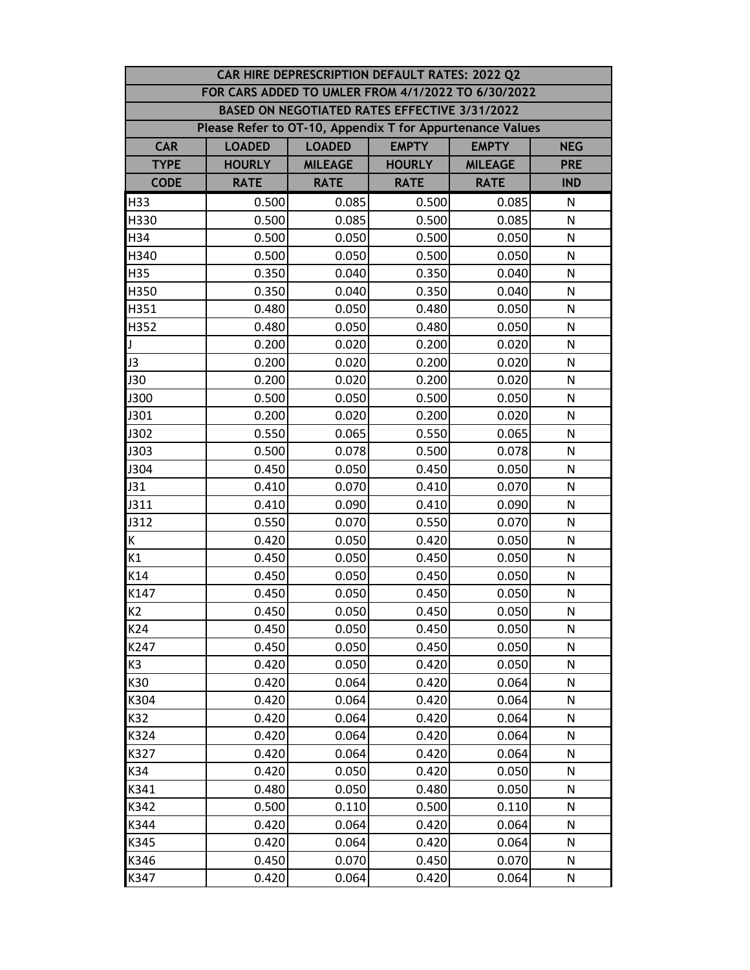| CAR HIRE DEPRESCRIPTION DEFAULT RATES: 2022 Q2 |                                                           |                                                             |                                               |                |              |  |  |  |
|------------------------------------------------|-----------------------------------------------------------|-------------------------------------------------------------|-----------------------------------------------|----------------|--------------|--|--|--|
|                                                | FOR CARS ADDED TO UMLER FROM 4/1/2022 TO 6/30/2022        |                                                             |                                               |                |              |  |  |  |
|                                                |                                                           |                                                             | BASED ON NEGOTIATED RATES EFFECTIVE 3/31/2022 |                |              |  |  |  |
|                                                | Please Refer to OT-10, Appendix T for Appurtenance Values |                                                             |                                               |                |              |  |  |  |
| <b>CAR</b>                                     | <b>LOADED</b>                                             | <b>EMPTY</b><br><b>LOADED</b><br><b>EMPTY</b><br><b>NEG</b> |                                               |                |              |  |  |  |
| <b>TYPE</b>                                    | <b>HOURLY</b>                                             | <b>MILEAGE</b>                                              | <b>HOURLY</b>                                 | <b>MILEAGE</b> | <b>PRE</b>   |  |  |  |
| <b>CODE</b>                                    | <b>RATE</b>                                               | <b>RATE</b>                                                 | <b>RATE</b>                                   | <b>RATE</b>    | <b>IND</b>   |  |  |  |
| H33                                            | 0.500                                                     | 0.085                                                       | 0.500                                         | 0.085          | N            |  |  |  |
| H330                                           | 0.500                                                     | 0.085                                                       | 0.500                                         | 0.085          | N            |  |  |  |
| H34                                            | 0.500                                                     | 0.050                                                       | 0.500                                         | 0.050          | ${\sf N}$    |  |  |  |
| H340                                           | 0.500                                                     | 0.050                                                       | 0.500                                         | 0.050          | N            |  |  |  |
| H35                                            | 0.350                                                     | 0.040                                                       | 0.350                                         | 0.040          | N            |  |  |  |
| H350                                           | 0.350                                                     | 0.040                                                       | 0.350                                         | 0.040          | N            |  |  |  |
| H351                                           | 0.480                                                     | 0.050                                                       | 0.480                                         | 0.050          | N            |  |  |  |
| H352                                           | 0.480                                                     | 0.050                                                       | 0.480                                         | 0.050          | N            |  |  |  |
| J                                              | 0.200                                                     | 0.020                                                       | 0.200                                         | 0.020          | N            |  |  |  |
| J3                                             | 0.200                                                     | 0.020                                                       | 0.200                                         | 0.020          | N            |  |  |  |
| <b>J30</b>                                     | 0.200                                                     | 0.020                                                       | 0.200                                         | 0.020          | $\mathsf{N}$ |  |  |  |
| J300                                           | 0.500                                                     | 0.050                                                       | 0.500                                         | 0.050          | N            |  |  |  |
| J301                                           | 0.200                                                     | 0.020                                                       | 0.200                                         | 0.020          | N            |  |  |  |
| J302                                           | 0.550                                                     | 0.065                                                       | 0.550                                         | 0.065          | N            |  |  |  |
| J303                                           | 0.500                                                     | 0.078                                                       | 0.500                                         | 0.078          | N            |  |  |  |
| J304                                           | 0.450                                                     | 0.050                                                       | 0.450                                         | 0.050          | $\mathsf{N}$ |  |  |  |
| J31                                            | 0.410                                                     | 0.070                                                       | 0.410                                         | 0.070          | N            |  |  |  |
| J311                                           | 0.410                                                     | 0.090                                                       | 0.410                                         | 0.090          | N            |  |  |  |
| J312                                           | 0.550                                                     | 0.070                                                       | 0.550                                         | 0.070          | N            |  |  |  |
| K                                              | 0.420                                                     | 0.050                                                       | 0.420                                         | 0.050          | N            |  |  |  |
| K1                                             | 0.450                                                     | 0.050                                                       | 0.450                                         | 0.050          | N            |  |  |  |
| K14                                            | 0.450                                                     | 0.050                                                       | 0.450                                         | 0.050          | N            |  |  |  |
| K147                                           | 0.450                                                     | 0.050                                                       | 0.450                                         | 0.050          | N            |  |  |  |
| K <sub>2</sub>                                 | 0.450                                                     | 0.050                                                       | 0.450                                         | 0.050          | N            |  |  |  |
| K24                                            | 0.450                                                     | 0.050                                                       | 0.450                                         | 0.050          | N            |  |  |  |
| K247                                           | 0.450                                                     | 0.050                                                       | 0.450                                         | 0.050          | N            |  |  |  |
| K3                                             | 0.420                                                     | 0.050                                                       | 0.420                                         | 0.050          | N            |  |  |  |
| K30                                            | 0.420                                                     | 0.064                                                       | 0.420                                         | 0.064          | N            |  |  |  |
| K304                                           | 0.420                                                     | 0.064                                                       | 0.420                                         | 0.064          | N            |  |  |  |
| K32                                            | 0.420                                                     | 0.064                                                       | 0.420                                         | 0.064          | N            |  |  |  |
| K324                                           | 0.420                                                     | 0.064                                                       | 0.420                                         | 0.064          | N            |  |  |  |
| K327                                           | 0.420                                                     | 0.064                                                       | 0.420                                         | 0.064          | N            |  |  |  |
| K34                                            | 0.420                                                     | 0.050                                                       | 0.420                                         | 0.050          | N            |  |  |  |
| K341                                           | 0.480                                                     | 0.050                                                       | 0.480                                         | 0.050          | N            |  |  |  |
| K342                                           | 0.500                                                     | 0.110                                                       | 0.500                                         | 0.110          | N            |  |  |  |
| K344                                           | 0.420                                                     | 0.064                                                       | 0.420                                         | 0.064          | N            |  |  |  |
| K345                                           | 0.420                                                     | 0.064                                                       | 0.420                                         | 0.064          | N            |  |  |  |
| K346                                           | 0.450                                                     | 0.070                                                       | 0.450                                         | 0.070          | N            |  |  |  |
| K347                                           | 0.420                                                     | 0.064                                                       | 0.420                                         | 0.064          | N            |  |  |  |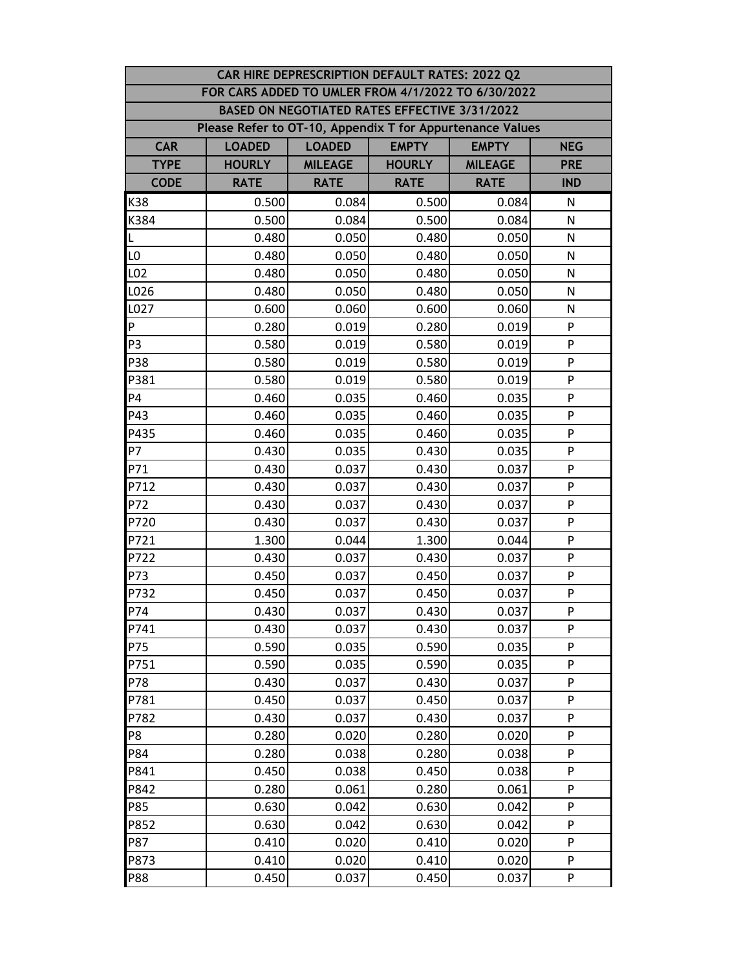| CAR HIRE DEPRESCRIPTION DEFAULT RATES: 2022 Q2 |                                                                              |                |                                               |                |              |  |  |
|------------------------------------------------|------------------------------------------------------------------------------|----------------|-----------------------------------------------|----------------|--------------|--|--|
|                                                | FOR CARS ADDED TO UMLER FROM 4/1/2022 TO 6/30/2022                           |                |                                               |                |              |  |  |
|                                                |                                                                              |                | BASED ON NEGOTIATED RATES EFFECTIVE 3/31/2022 |                |              |  |  |
|                                                | Please Refer to OT-10, Appendix T for Appurtenance Values                    |                |                                               |                |              |  |  |
| <b>CAR</b>                                     | <b>LOADED</b><br><b>EMPTY</b><br><b>LOADED</b><br><b>EMPTY</b><br><b>NEG</b> |                |                                               |                |              |  |  |
| <b>TYPE</b>                                    | <b>HOURLY</b>                                                                | <b>MILEAGE</b> | <b>HOURLY</b>                                 | <b>MILEAGE</b> | <b>PRE</b>   |  |  |
| <b>CODE</b>                                    | <b>RATE</b>                                                                  | <b>RATE</b>    | <b>RATE</b>                                   | <b>RATE</b>    | <b>IND</b>   |  |  |
| K38                                            | 0.500                                                                        | 0.084          | 0.500                                         | 0.084          | N            |  |  |
| K384                                           | 0.500                                                                        | 0.084          | 0.500                                         | 0.084          | N            |  |  |
| L                                              | 0.480                                                                        | 0.050          | 0.480                                         | 0.050          | N            |  |  |
| L <sub>0</sub>                                 | 0.480                                                                        | 0.050          | 0.480                                         | 0.050          | $\mathsf{N}$ |  |  |
| L02                                            | 0.480                                                                        | 0.050          | 0.480                                         | 0.050          | ${\sf N}$    |  |  |
| L026                                           | 0.480                                                                        | 0.050          | 0.480                                         | 0.050          | N            |  |  |
| L027                                           | 0.600                                                                        | 0.060          | 0.600                                         | 0.060          | N            |  |  |
| P                                              | 0.280                                                                        | 0.019          | 0.280                                         | 0.019          | P            |  |  |
| P <sub>3</sub>                                 | 0.580                                                                        | 0.019          | 0.580                                         | 0.019          | P            |  |  |
| P38                                            | 0.580                                                                        | 0.019          | 0.580                                         | 0.019          | P            |  |  |
| P381                                           | 0.580                                                                        | 0.019          | 0.580                                         | 0.019          | P            |  |  |
| P <sub>4</sub>                                 | 0.460                                                                        | 0.035          | 0.460                                         | 0.035          | P            |  |  |
| P43                                            | 0.460                                                                        | 0.035          | 0.460                                         | 0.035          | P            |  |  |
| P435                                           | 0.460                                                                        | 0.035          | 0.460                                         | 0.035          | P            |  |  |
| <b>P7</b>                                      | 0.430                                                                        | 0.035          | 0.430                                         | 0.035          | P            |  |  |
| P71                                            | 0.430                                                                        | 0.037          | 0.430                                         | 0.037          | ${\sf P}$    |  |  |
| P712                                           | 0.430                                                                        | 0.037          | 0.430                                         | 0.037          | P            |  |  |
| P72                                            | 0.430                                                                        | 0.037          | 0.430                                         | 0.037          | P            |  |  |
| P720                                           | 0.430                                                                        | 0.037          | 0.430                                         | 0.037          | P            |  |  |
| P721                                           | 1.300                                                                        | 0.044          | 1.300                                         | 0.044          | P            |  |  |
| P722                                           | 0.430                                                                        | 0.037          | 0.430                                         | 0.037          | P            |  |  |
| P73                                            | 0.450                                                                        | 0.037          | 0.450                                         | 0.037          | P            |  |  |
| P732                                           | 0.450                                                                        | 0.037          | 0.450                                         | 0.037          | P            |  |  |
| P74                                            | 0.430                                                                        | 0.037          | 0.430                                         | 0.037          | P            |  |  |
| P741                                           | 0.430                                                                        | 0.037          | 0.430                                         | 0.037          | P            |  |  |
| P75                                            | 0.590                                                                        | 0.035          | 0.590                                         | 0.035          | P            |  |  |
| P751                                           | 0.590                                                                        | 0.035          | 0.590                                         | 0.035          | P            |  |  |
| P78                                            | 0.430                                                                        | 0.037          | 0.430                                         | 0.037          | P            |  |  |
| P781                                           | 0.450                                                                        | 0.037          | 0.450                                         | 0.037          | P            |  |  |
| P782                                           | 0.430                                                                        | 0.037          | 0.430                                         | 0.037          | P            |  |  |
| P8                                             | 0.280                                                                        | 0.020          | 0.280                                         | 0.020          | P            |  |  |
| P84                                            | 0.280                                                                        | 0.038          | 0.280                                         | 0.038          | P            |  |  |
| P841                                           | 0.450                                                                        | 0.038          | 0.450                                         | 0.038          | P            |  |  |
| P842                                           | 0.280                                                                        | 0.061          | 0.280                                         | 0.061          | P            |  |  |
| P85                                            | 0.630                                                                        | 0.042          | 0.630                                         | 0.042          | ${\sf P}$    |  |  |
| P852                                           | 0.630                                                                        | 0.042          | 0.630                                         | 0.042          | P            |  |  |
| P87                                            | 0.410                                                                        | 0.020          | 0.410                                         | 0.020          | P            |  |  |
| P873                                           | 0.410                                                                        | 0.020          | 0.410                                         | 0.020          | P            |  |  |
| P88                                            | 0.450                                                                        | 0.037          | 0.450                                         | 0.037          | P            |  |  |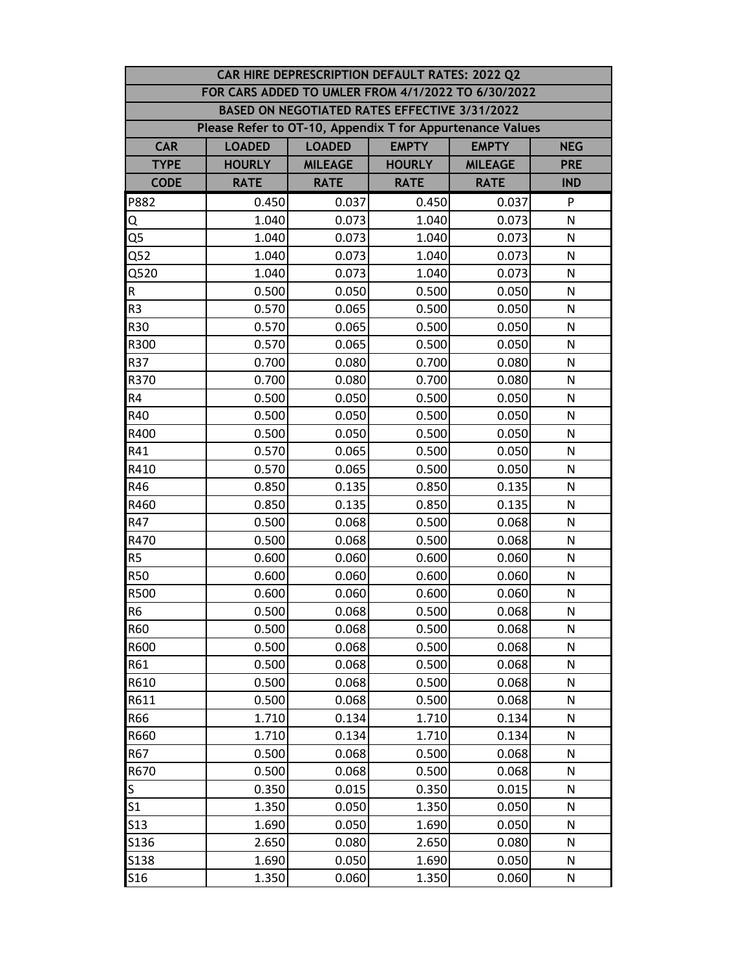|                 | CAR HIRE DEPRESCRIPTION DEFAULT RATES: 2022 Q2            |                                                             |                                               |                |              |  |  |  |
|-----------------|-----------------------------------------------------------|-------------------------------------------------------------|-----------------------------------------------|----------------|--------------|--|--|--|
|                 | FOR CARS ADDED TO UMLER FROM 4/1/2022 TO 6/30/2022        |                                                             |                                               |                |              |  |  |  |
|                 |                                                           |                                                             | BASED ON NEGOTIATED RATES EFFECTIVE 3/31/2022 |                |              |  |  |  |
|                 | Please Refer to OT-10, Appendix T for Appurtenance Values |                                                             |                                               |                |              |  |  |  |
| <b>CAR</b>      | <b>LOADED</b>                                             | <b>EMPTY</b><br><b>LOADED</b><br><b>EMPTY</b><br><b>NEG</b> |                                               |                |              |  |  |  |
| <b>TYPE</b>     | <b>HOURLY</b>                                             | <b>MILEAGE</b>                                              | <b>HOURLY</b>                                 | <b>MILEAGE</b> | <b>PRE</b>   |  |  |  |
| <b>CODE</b>     | <b>RATE</b>                                               | <b>RATE</b>                                                 | <b>RATE</b>                                   | <b>RATE</b>    | <b>IND</b>   |  |  |  |
| P882            | 0.450                                                     | 0.037                                                       | 0.450                                         | 0.037          | P            |  |  |  |
| Q               | 1.040                                                     | 0.073                                                       | 1.040                                         | 0.073          | N            |  |  |  |
| Q5              | 1.040                                                     | 0.073                                                       | 1.040                                         | 0.073          | N            |  |  |  |
| Q52             | 1.040                                                     | 0.073                                                       | 1.040                                         | 0.073          | N            |  |  |  |
| Q520            | 1.040                                                     | 0.073                                                       | 1.040                                         | 0.073          | N            |  |  |  |
| ${\sf R}$       | 0.500                                                     | 0.050                                                       | 0.500                                         | 0.050          | N            |  |  |  |
| R <sub>3</sub>  | 0.570                                                     | 0.065                                                       | 0.500                                         | 0.050          | $\mathsf{N}$ |  |  |  |
| R30             | 0.570                                                     | 0.065                                                       | 0.500                                         | 0.050          | N            |  |  |  |
| R300            | 0.570                                                     | 0.065                                                       | 0.500                                         | 0.050          | N            |  |  |  |
| R37             | 0.700                                                     | 0.080                                                       | 0.700                                         | 0.080          | N            |  |  |  |
| R370            | 0.700                                                     | 0.080                                                       | 0.700                                         | 0.080          | N            |  |  |  |
| R4              | 0.500                                                     | 0.050                                                       | 0.500                                         | 0.050          | $\mathsf{N}$ |  |  |  |
| R40             | 0.500                                                     | 0.050                                                       | 0.500                                         | 0.050          | N            |  |  |  |
| R400            | 0.500                                                     | 0.050                                                       | 0.500                                         | 0.050          | N            |  |  |  |
| R41             | 0.570                                                     | 0.065                                                       | 0.500                                         | 0.050          | N            |  |  |  |
| R410            | 0.570                                                     | 0.065                                                       | 0.500                                         | 0.050          | N            |  |  |  |
| R46             | 0.850                                                     | 0.135                                                       | 0.850                                         | 0.135          | ${\sf N}$    |  |  |  |
| R460            | 0.850                                                     | 0.135                                                       | 0.850                                         | 0.135          | $\mathsf{N}$ |  |  |  |
| R47             | 0.500                                                     | 0.068                                                       | 0.500                                         | 0.068          | $\mathsf{N}$ |  |  |  |
| R470            | 0.500                                                     | 0.068                                                       | 0.500                                         | 0.068          | N            |  |  |  |
| R <sub>5</sub>  | 0.600                                                     | 0.060                                                       | 0.600                                         | 0.060          | N            |  |  |  |
| <b>R50</b>      | 0.600                                                     | 0.060                                                       | 0.600                                         | 0.060          | N            |  |  |  |
| R500            | 0.600                                                     | 0.060                                                       | 0.600                                         | 0.060          | N            |  |  |  |
| R <sub>6</sub>  | 0.500                                                     | 0.068                                                       | 0.500                                         | 0.068          | ${\sf N}$    |  |  |  |
| <b>R60</b>      | 0.500                                                     | 0.068                                                       | 0.500                                         | 0.068          | N            |  |  |  |
| R600            | 0.500                                                     | 0.068                                                       | 0.500                                         | 0.068          | N            |  |  |  |
| R61             | 0.500                                                     | 0.068                                                       | 0.500                                         | 0.068          | N            |  |  |  |
| R610            | 0.500                                                     | 0.068                                                       | 0.500                                         | 0.068          | N            |  |  |  |
| R611            | 0.500                                                     | 0.068                                                       | 0.500                                         | 0.068          | N            |  |  |  |
| R66             | 1.710                                                     | 0.134                                                       | 1.710                                         | 0.134          | $\mathsf{N}$ |  |  |  |
| R660            | 1.710                                                     | 0.134                                                       | 1.710                                         | 0.134          | N            |  |  |  |
| R67             | 0.500                                                     | 0.068                                                       | 0.500                                         | 0.068          | N            |  |  |  |
| R670            | 0.500                                                     | 0.068                                                       | 0.500                                         | 0.068          | N            |  |  |  |
| S.              | 0.350                                                     | 0.015                                                       | 0.350                                         | 0.015          | N            |  |  |  |
| S <sub>1</sub>  | 1.350                                                     | 0.050                                                       | 1.350                                         | 0.050          | N            |  |  |  |
| <b>S13</b>      | 1.690                                                     | 0.050                                                       | 1.690                                         | 0.050          | N            |  |  |  |
| S136            | 2.650                                                     | 0.080                                                       | 2.650                                         | 0.080          | N            |  |  |  |
| <b>S138</b>     | 1.690                                                     | 0.050                                                       | 1.690                                         | 0.050          | N            |  |  |  |
| S <sub>16</sub> | 1.350                                                     | 0.060                                                       | 1.350                                         | 0.060          | ${\sf N}$    |  |  |  |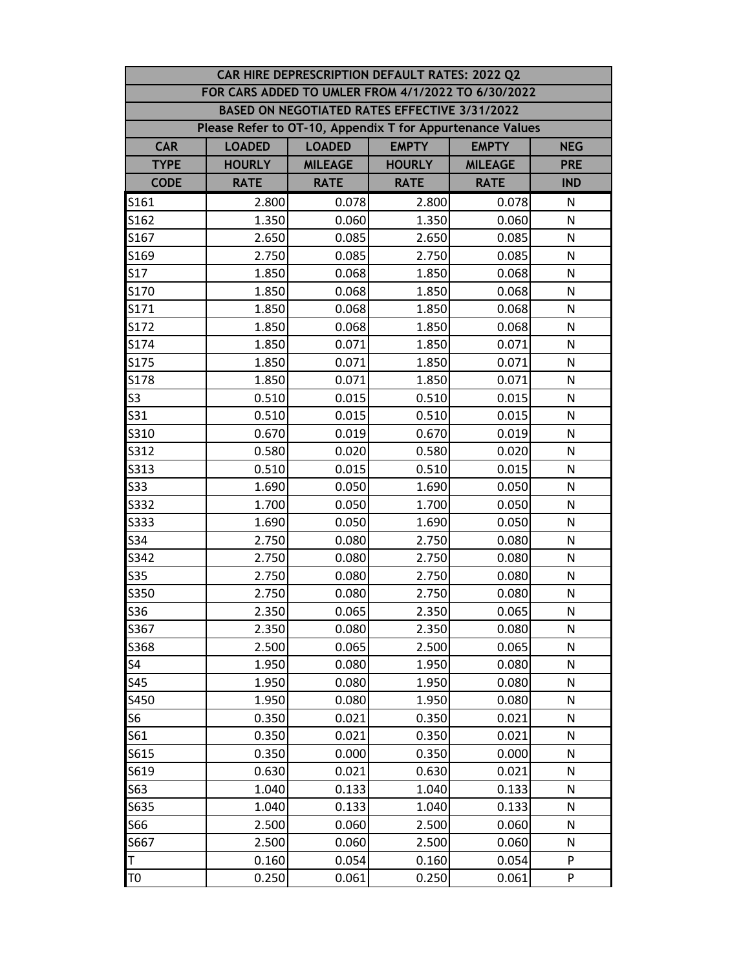|                                                           | CAR HIRE DEPRESCRIPTION DEFAULT RATES: 2022 Q2 |                |               |                |              |  |  |  |
|-----------------------------------------------------------|------------------------------------------------|----------------|---------------|----------------|--------------|--|--|--|
| FOR CARS ADDED TO UMLER FROM 4/1/2022 TO 6/30/2022        |                                                |                |               |                |              |  |  |  |
| BASED ON NEGOTIATED RATES EFFECTIVE 3/31/2022             |                                                |                |               |                |              |  |  |  |
| Please Refer to OT-10, Appendix T for Appurtenance Values |                                                |                |               |                |              |  |  |  |
| <b>CAR</b>                                                | <b>LOADED</b>                                  | <b>LOADED</b>  | <b>EMPTY</b>  | <b>EMPTY</b>   | <b>NEG</b>   |  |  |  |
| <b>TYPE</b>                                               | <b>HOURLY</b>                                  | <b>MILEAGE</b> | <b>HOURLY</b> | <b>MILEAGE</b> | <b>PRE</b>   |  |  |  |
| <b>CODE</b>                                               | <b>RATE</b>                                    | <b>RATE</b>    | <b>RATE</b>   | <b>RATE</b>    | <b>IND</b>   |  |  |  |
| S161                                                      | 2.800                                          | 0.078          | 2.800         | 0.078          | N            |  |  |  |
| S162                                                      | 1.350                                          | 0.060          | 1.350         | 0.060          | N            |  |  |  |
| S167                                                      | 2.650                                          | 0.085          | 2.650         | 0.085          | ${\sf N}$    |  |  |  |
| S169                                                      | 2.750                                          | 0.085          | 2.750         | 0.085          | N            |  |  |  |
| S <sub>17</sub>                                           | 1.850                                          | 0.068          | 1.850         | 0.068          | N            |  |  |  |
| S170                                                      | 1.850                                          | 0.068          | 1.850         | 0.068          | N            |  |  |  |
| S171                                                      | 1.850                                          | 0.068          | 1.850         | 0.068          | N            |  |  |  |
| S172                                                      | 1.850                                          | 0.068          | 1.850         | 0.068          | N            |  |  |  |
| S174                                                      | 1.850                                          | 0.071          | 1.850         | 0.071          | N            |  |  |  |
| S175                                                      | 1.850                                          | 0.071          | 1.850         | 0.071          | N            |  |  |  |
| S178                                                      | 1.850                                          | 0.071          | 1.850         | 0.071          | $\mathsf{N}$ |  |  |  |
| S <sub>3</sub>                                            | 0.510                                          | 0.015          | 0.510         | 0.015          | N            |  |  |  |
| S31                                                       | 0.510                                          | 0.015          | 0.510         | 0.015          | N            |  |  |  |
| S310                                                      | 0.670                                          | 0.019          | 0.670         | 0.019          | N            |  |  |  |
| S312                                                      | 0.580                                          | 0.020          | 0.580         | 0.020          | N            |  |  |  |
| S313                                                      | 0.510                                          | 0.015          | 0.510         | 0.015          | $\mathsf{N}$ |  |  |  |
| <b>S33</b>                                                | 1.690                                          | 0.050          | 1.690         | 0.050          | N            |  |  |  |
| S332                                                      | 1.700                                          | 0.050          | 1.700         | 0.050          | ${\sf N}$    |  |  |  |
| S333                                                      | 1.690                                          | 0.050          | 1.690         | 0.050          | N            |  |  |  |
| S34                                                       | 2.750                                          | 0.080          | 2.750         | 0.080          | N            |  |  |  |
| S342                                                      | 2.750                                          | 0.080          | 2.750         | 0.080          | N            |  |  |  |
| <b>S35</b>                                                | 2.750                                          | 0.080          | 2.750         | 0.080          | N            |  |  |  |
| S350                                                      | 2.750                                          | 0.080          | 2.750         | 0.080          | N            |  |  |  |
| S36                                                       | 2.350                                          | 0.065          | 2.350         | 0.065          | N            |  |  |  |
| S367                                                      | 2.350                                          | 0.080          | 2.350         | 0.080          | N            |  |  |  |
| S368                                                      | 2.500                                          | 0.065          | 2.500         | 0.065          | N            |  |  |  |
| S4                                                        | 1.950                                          | 0.080          | 1.950         | 0.080          | N            |  |  |  |
| <b>S45</b>                                                | 1.950                                          | 0.080          | 1.950         | 0.080          | N            |  |  |  |
| S450                                                      | 1.950                                          | 0.080          | 1.950         | 0.080          | N            |  |  |  |
| S6                                                        | 0.350                                          | 0.021          | 0.350         | 0.021          | N            |  |  |  |
| S61                                                       | 0.350                                          | 0.021          | 0.350         | 0.021          | N            |  |  |  |
| S615                                                      | 0.350                                          | 0.000          | 0.350         | 0.000          | N            |  |  |  |
| S619                                                      | 0.630                                          | 0.021          | 0.630         | 0.021          | N            |  |  |  |
| S63                                                       | 1.040                                          | 0.133          | 1.040         | 0.133          | N            |  |  |  |
| S635                                                      | 1.040                                          | 0.133          | 1.040         | 0.133          | N            |  |  |  |
| S66                                                       | 2.500                                          | 0.060          | 2.500         | 0.060          | N            |  |  |  |
| S667                                                      | 2.500                                          | 0.060          | 2.500         | 0.060          | N            |  |  |  |
| T                                                         | 0.160                                          | 0.054          | 0.160         | 0.054          | P            |  |  |  |
| T <sub>0</sub>                                            | 0.250                                          | 0.061          | 0.250         | 0.061          | P            |  |  |  |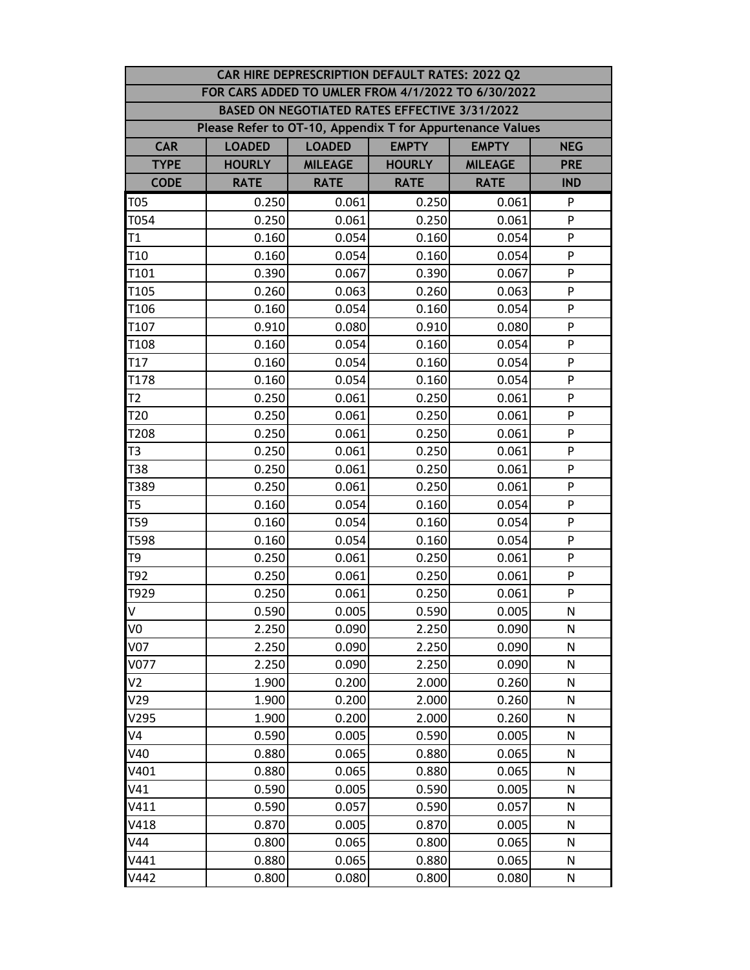|                                                           |               |                | CAR HIRE DEPRESCRIPTION DEFAULT RATES: 2022 Q2 |                |              |  |  |  |
|-----------------------------------------------------------|---------------|----------------|------------------------------------------------|----------------|--------------|--|--|--|
| FOR CARS ADDED TO UMLER FROM 4/1/2022 TO 6/30/2022        |               |                |                                                |                |              |  |  |  |
| BASED ON NEGOTIATED RATES EFFECTIVE 3/31/2022             |               |                |                                                |                |              |  |  |  |
| Please Refer to OT-10, Appendix T for Appurtenance Values |               |                |                                                |                |              |  |  |  |
| <b>CAR</b>                                                | <b>LOADED</b> | <b>LOADED</b>  | <b>EMPTY</b>                                   | <b>EMPTY</b>   | <b>NEG</b>   |  |  |  |
| <b>TYPE</b>                                               | <b>HOURLY</b> | <b>MILEAGE</b> | <b>HOURLY</b>                                  | <b>MILEAGE</b> | <b>PRE</b>   |  |  |  |
| <b>CODE</b>                                               | <b>RATE</b>   | <b>RATE</b>    | <b>RATE</b>                                    | <b>RATE</b>    | <b>IND</b>   |  |  |  |
| <b>T05</b>                                                | 0.250         | 0.061          | 0.250                                          | 0.061          | P            |  |  |  |
| T054                                                      | 0.250         | 0.061          | 0.250                                          | 0.061          | P            |  |  |  |
| T1                                                        | 0.160         | 0.054          | 0.160                                          | 0.054          | ${\sf P}$    |  |  |  |
| T <sub>10</sub>                                           | 0.160         | 0.054          | 0.160                                          | 0.054          | P            |  |  |  |
| T101                                                      | 0.390         | 0.067          | 0.390                                          | 0.067          | P            |  |  |  |
| T105                                                      | 0.260         | 0.063          | 0.260                                          | 0.063          | P            |  |  |  |
| T106                                                      | 0.160         | 0.054          | 0.160                                          | 0.054          | P            |  |  |  |
| T107                                                      | 0.910         | 0.080          | 0.910                                          | 0.080          | P            |  |  |  |
| T108                                                      | 0.160         | 0.054          | 0.160                                          | 0.054          | P            |  |  |  |
| T <sub>17</sub>                                           | 0.160         | 0.054          | 0.160                                          | 0.054          | P            |  |  |  |
| T178                                                      | 0.160         | 0.054          | 0.160                                          | 0.054          | P            |  |  |  |
| T <sub>2</sub>                                            | 0.250         | 0.061          | 0.250                                          | 0.061          | P            |  |  |  |
| T <sub>20</sub>                                           | 0.250         | 0.061          | 0.250                                          | 0.061          | P            |  |  |  |
| T208                                                      | 0.250         | 0.061          | 0.250                                          | 0.061          | P            |  |  |  |
| T3                                                        | 0.250         | 0.061          | 0.250                                          | 0.061          | P            |  |  |  |
| T38                                                       | 0.250         | 0.061          | 0.250                                          | 0.061          | ${\sf P}$    |  |  |  |
| T389                                                      | 0.250         | 0.061          | 0.250                                          | 0.061          | P            |  |  |  |
| T <sub>5</sub>                                            | 0.160         | 0.054          | 0.160                                          | 0.054          | P            |  |  |  |
| T59                                                       | 0.160         | 0.054          | 0.160                                          | 0.054          | P            |  |  |  |
| T598                                                      | 0.160         | 0.054          | 0.160                                          | 0.054          | P            |  |  |  |
| T9                                                        | 0.250         | 0.061          | 0.250                                          | 0.061          | P            |  |  |  |
| T92                                                       | 0.250         | 0.061          | 0.250                                          | 0.061          | P            |  |  |  |
| T929                                                      | 0.250         | 0.061          | 0.250                                          | 0.061          | P            |  |  |  |
| <b>V</b>                                                  | 0.590         | 0.005          | 0.590                                          | 0.005          | $\mathsf{N}$ |  |  |  |
| V <sub>0</sub>                                            | 2.250         | 0.090          | 2.250                                          | 0.090          | N            |  |  |  |
| <b>V07</b>                                                | 2.250         | 0.090          | 2.250                                          | 0.090          | N            |  |  |  |
| V077                                                      | 2.250         | 0.090          | 2.250                                          | 0.090          | N            |  |  |  |
| V <sub>2</sub>                                            | 1.900         | 0.200          | 2.000                                          | 0.260          | N            |  |  |  |
| V29                                                       | 1.900         | 0.200          | 2.000                                          | 0.260          | N            |  |  |  |
| V295                                                      | 1.900         | 0.200          | 2.000                                          | 0.260          | N            |  |  |  |
| V4                                                        | 0.590         | 0.005          | 0.590                                          | 0.005          | N            |  |  |  |
| V40                                                       | 0.880         | 0.065          | 0.880                                          | 0.065          | N            |  |  |  |
| V401                                                      | 0.880         | 0.065          | 0.880                                          | 0.065          | N            |  |  |  |
| V41                                                       | 0.590         | 0.005          | 0.590                                          | 0.005          | N            |  |  |  |
| V411                                                      | 0.590         | 0.057          | 0.590                                          | 0.057          | N            |  |  |  |
| V418                                                      | 0.870         | 0.005          | 0.870                                          | 0.005          | ${\sf N}$    |  |  |  |
| V44                                                       | 0.800         | 0.065          | 0.800                                          | 0.065          | N            |  |  |  |
| V441                                                      | 0.880         | 0.065          | 0.880                                          | 0.065          | $\mathsf{N}$ |  |  |  |
| V442                                                      | 0.800         | 0.080          | 0.800                                          | 0.080          | N            |  |  |  |